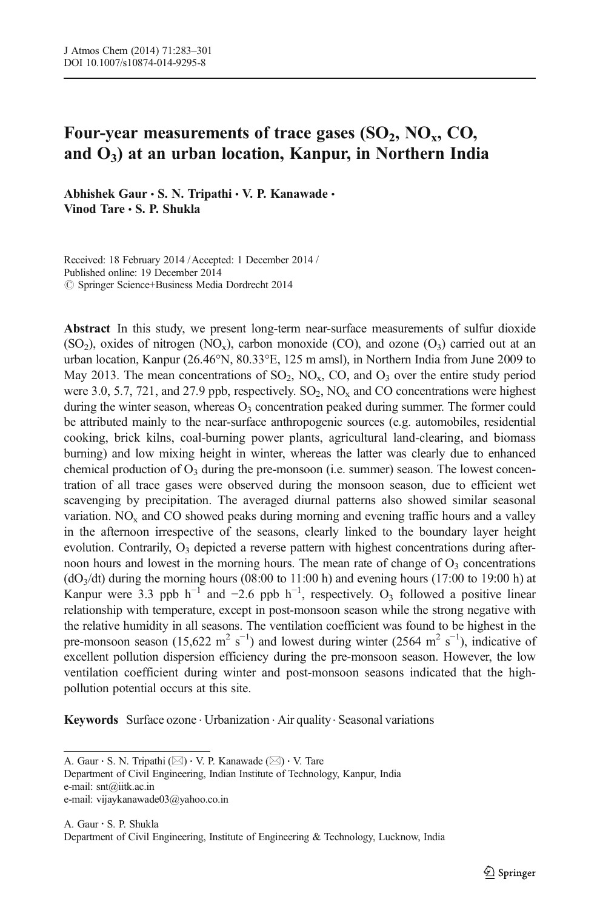# Four-year measurements of trace gases  $(SO_2, NO_x, CO_y)$ and  $O_3$ ) at an urban location, Kanpur, in Northern India

Abhishek Gaur  $\cdot$  S. N. Tripathi  $\cdot$  V. P. Kanawade  $\cdot$ Vinod Tare . S. P. Shukla

Received: 18 February 2014 /Accepted: 1 December 2014 / Published online: 19 December 2014  $\oslash$  Springer Science+Business Media Dordrecht 2014

Abstract In this study, we present long-term near-surface measurements of sulfur dioxide  $(SO<sub>2</sub>)$ , oxides of nitrogen  $(NO<sub>x</sub>)$ , carbon monoxide  $(CO)$ , and ozone  $(O<sub>3</sub>)$  carried out at an urban location, Kanpur (26.46°N, 80.33°E, 125 m amsl), in Northern India from June 2009 to May 2013. The mean concentrations of  $SO_2$ ,  $NO_x$ ,  $CO$ , and  $O_3$  over the entire study period were 3.0, 5.7, 721, and 27.9 ppb, respectively.  $SO_2$ ,  $NO_x$  and CO concentrations were highest during the winter season, whereas  $O_3$  concentration peaked during summer. The former could be attributed mainly to the near-surface anthropogenic sources (e.g. automobiles, residential cooking, brick kilns, coal-burning power plants, agricultural land-clearing, and biomass burning) and low mixing height in winter, whereas the latter was clearly due to enhanced chemical production of  $O_3$  during the pre-monsoon (i.e. summer) season. The lowest concentration of all trace gases were observed during the monsoon season, due to efficient wet scavenging by precipitation. The averaged diurnal patterns also showed similar seasonal variation.  $NO<sub>x</sub>$  and CO showed peaks during morning and evening traffic hours and a valley in the afternoon irrespective of the seasons, clearly linked to the boundary layer height evolution. Contrarily,  $O_3$  depicted a reverse pattern with highest concentrations during afternoon hours and lowest in the morning hours. The mean rate of change of  $O_3$  concentrations  $(dO<sub>3</sub>/dt)$  during the morning hours (08:00 to 11:00 h) and evening hours (17:00 to 19:00 h) at Kanpur were 3.3 ppb  $h^{-1}$  and -2.6 ppb  $h^{-1}$ , respectively. O<sub>3</sub> followed a positive linear relationship with temperature, except in post-monsoon season while the strong negative with the relative humidity in all seasons. The ventilation coefficient was found to be highest in the pre-monsoon season (15,622 m<sup>2</sup> s<sup>-1</sup>) and lowest during winter (2564 m<sup>2</sup> s<sup>-1</sup>), indicative of excellent pollution dispersion efficiency during the pre-monsoon season. However, the low ventilation coefficient during winter and post-monsoon seasons indicated that the highpollution potential occurs at this site.

Keywords Surface ozone · Urbanization · Air quality · Seasonal variations

A. Gaur  $\cdot$  S. N. Tripathi ( $\boxtimes$ )  $\cdot$  V. P. Kanawade ( $\boxtimes$ )  $\cdot$  V. Tare Department of Civil Engineering, Indian Institute of Technology, Kanpur, India e-mail: snt@iitk.ac.in e-mail: vijaykanawade03@yahoo.co.in

A. Gaur : S. P. Shukla Department of Civil Engineering, Institute of Engineering & Technology, Lucknow, India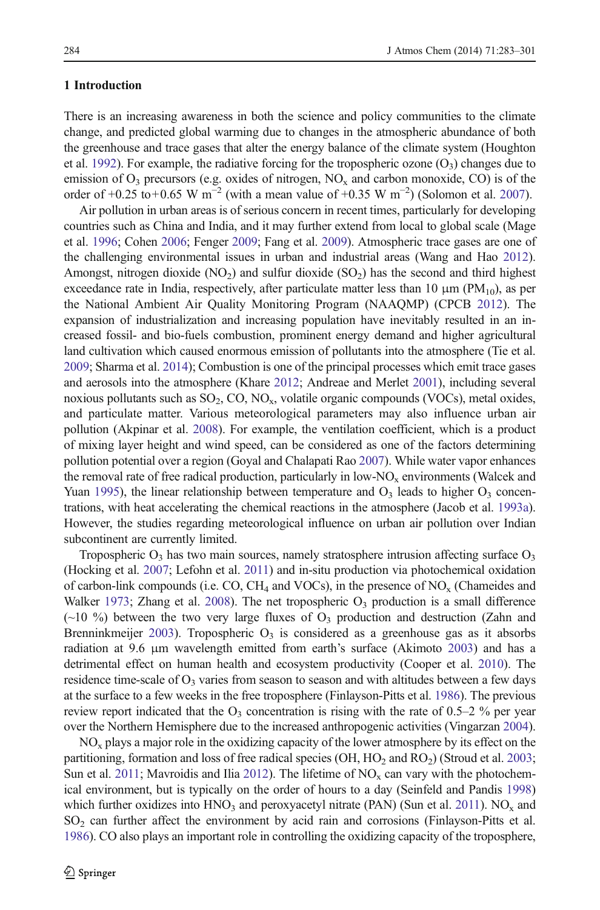# 1 Introduction

There is an increasing awareness in both the science and policy communities to the climate change, and predicted global warming due to changes in the atmospheric abundance of both the greenhouse and trace gases that alter the energy balance of the climate system (Houghton et al. [1992](#page-15-0)). For example, the radiative forcing for the tropospheric ozone  $(O_3)$  changes due to emission of  $O_3$  precursors (e.g. oxides of nitrogen,  $NO_x$  and carbon monoxide, CO) is of the order of +0.25 to+0.65 W m<sup>-2</sup> (with a mean value of +0.35 W m<sup>-2</sup>) (Solomon et al. [2007\)](#page-17-0).

Air pollution in urban areas is of serious concern in recent times, particularly for developing countries such as China and India, and it may further extend from local to global scale (Mage et al. [1996](#page-16-0); Cohen [2006;](#page-14-0) Fenger [2009;](#page-14-0) Fang et al. [2009](#page-14-0)). Atmospheric trace gases are one of the challenging environmental issues in urban and industrial areas (Wang and Hao [2012](#page-17-0)). Amongst, nitrogen dioxide  $(NO_2)$  and sulfur dioxide  $(SO_2)$  has the second and third highest exceedance rate in India, respectively, after particulate matter less than 10  $\mu$ m (PM<sub>10</sub>), as per the National Ambient Air Quality Monitoring Program (NAAQMP) (CPCB [2012](#page-14-0)). The expansion of industrialization and increasing population have inevitably resulted in an increased fossil- and bio-fuels combustion, prominent energy demand and higher agricultural land cultivation which caused enormous emission of pollutants into the atmosphere (Tie et al. [2009](#page-17-0); Sharma et al. [2014\)](#page-17-0); Combustion is one of the principal processes which emit trace gases and aerosols into the atmosphere (Khare [2012](#page-15-0); Andreae and Merlet [2001\)](#page-14-0), including several noxious pollutants such as  $SO_2$ ,  $CO$ ,  $NO_x$ , volatile organic compounds (VOCs), metal oxides, and particulate matter. Various meteorological parameters may also influence urban air pollution (Akpinar et al. [2008\)](#page-14-0). For example, the ventilation coefficient, which is a product of mixing layer height and wind speed, can be considered as one of the factors determining pollution potential over a region (Goyal and Chalapati Rao [2007\)](#page-15-0). While water vapor enhances the removal rate of free radical production, particularly in  $low-NO<sub>x</sub>$  environments (Walcek and Yuan [1995\)](#page-17-0), the linear relationship between temperature and  $O<sub>3</sub>$  leads to higher  $O<sub>3</sub>$  concentrations, with heat accelerating the chemical reactions in the atmosphere (Jacob et al. [1993a](#page-15-0)). However, the studies regarding meteorological influence on urban air pollution over Indian subcontinent are currently limited.

Tropospheric  $O_3$  has two main sources, namely stratosphere intrusion affecting surface  $O_3$ (Hocking et al. [2007;](#page-15-0) Lefohn et al. [2011](#page-15-0)) and in-situ production via photochemical oxidation of carbon-link compounds (i.e. CO, CH<sub>4</sub> and VOCs), in the presence of NO<sub>x</sub> (Chameides and Walker [1973;](#page-14-0) Zhang et al. [2008\)](#page-18-0). The net tropospheric  $O_3$  production is a small difference  $(\sim 10\%)$  between the two very large fluxes of  $O<sub>3</sub>$  production and destruction (Zahn and Brenninkmeijer [2003\)](#page-18-0). Tropospheric  $O_3$  is considered as a greenhouse gas as it absorbs radiation at 9.6 μm wavelength emitted from earth's surface (Akimoto [2003\)](#page-14-0) and has a detrimental effect on human health and ecosystem productivity (Cooper et al. [2010](#page-14-0)). The residence time-scale of  $O_3$  varies from season to season and with altitudes between a few days at the surface to a few weeks in the free troposphere (Finlayson-Pitts et al. [1986\)](#page-14-0). The previous review report indicated that the  $O_3$  concentration is rising with the rate of 0.5–2 % per year over the Northern Hemisphere due to the increased anthropogenic activities (Vingarzan [2004](#page-17-0)).

 $NO<sub>x</sub>$  plays a major role in the oxidizing capacity of the lower atmosphere by its effect on the partitioning, formation and loss of free radical species (OH,  $HO_2$  and  $RO_2$ ) (Stroud et al. [2003](#page-17-0); Sun et al. [2011;](#page-17-0) Mavroidis and Ilia [2012\)](#page-16-0). The lifetime of  $NO<sub>x</sub>$  can vary with the photochemical environment, but is typically on the order of hours to a day (Seinfeld and Pandis [1998\)](#page-17-0) which further oxidizes into  $HNO<sub>3</sub>$  and peroxyacetyl nitrate (PAN) (Sun et al. [2011\)](#page-17-0). NO<sub>x</sub> and  $SO<sub>2</sub>$  can further affect the environment by acid rain and corrosions (Finlayson-Pitts et al. [1986](#page-14-0)). CO also plays an important role in controlling the oxidizing capacity of the troposphere,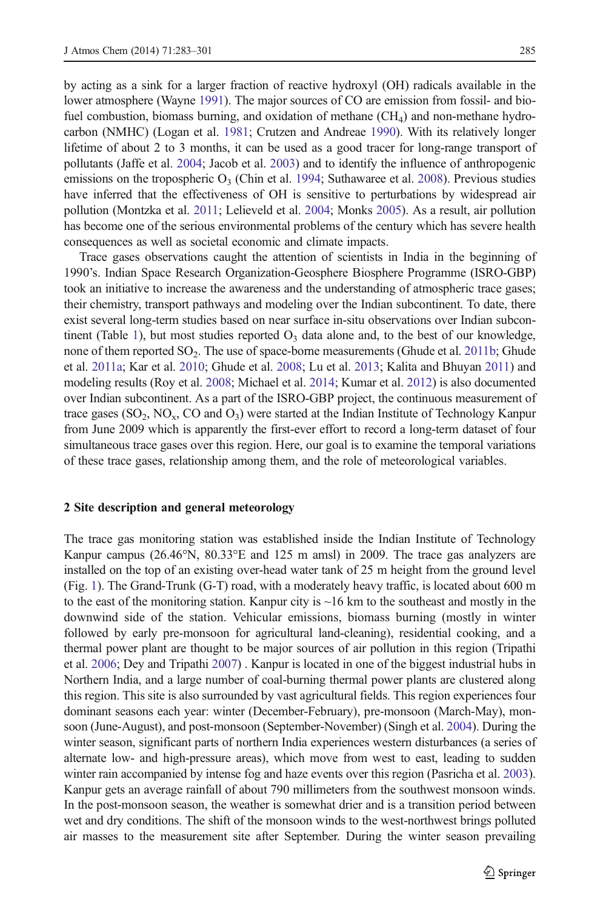by acting as a sink for a larger fraction of reactive hydroxyl (OH) radicals available in the lower atmosphere (Wayne [1991](#page-18-0)). The major sources of CO are emission from fossil- and biofuel combustion, biomass burning, and oxidation of methane  $(CH<sub>4</sub>)$  and non-methane hydrocarbon (NMHC) (Logan et al. [1981](#page-15-0); Crutzen and Andreae [1990\)](#page-14-0). With its relatively longer lifetime of about 2 to 3 months, it can be used as a good tracer for long-range transport of pollutants (Jaffe et al. [2004](#page-15-0); Jacob et al. [2003](#page-15-0)) and to identify the influence of anthropogenic emissions on the tropospheric  $O_3$  (Chin et al. [1994;](#page-14-0) Suthawaree et al. [2008\)](#page-17-0). Previous studies have inferred that the effectiveness of OH is sensitive to perturbations by widespread air pollution (Montzka et al. [2011](#page-16-0); Lelieveld et al. [2004;](#page-15-0) Monks [2005](#page-16-0)). As a result, air pollution has become one of the serious environmental problems of the century which has severe health consequences as well as societal economic and climate impacts.

Trace gases observations caught the attention of scientists in India in the beginning of 1990's. Indian Space Research Organization-Geosphere Biosphere Programme (ISRO-GBP) took an initiative to increase the awareness and the understanding of atmospheric trace gases; their chemistry, transport pathways and modeling over the Indian subcontinent. To date, there exist several long-term studies based on near surface in-situ observations over Indian subcon-tinent (Table [1\)](#page-3-0), but most studies reported  $O_3$  data alone and, to the best of our knowledge, none of them reported  $SO_2$ . The use of space-borne measurements (Ghude et al. [2011b](#page-15-0); Ghude et al. [2011a;](#page-15-0) Kar et al. [2010;](#page-15-0) Ghude et al. [2008](#page-15-0); Lu et al. [2013](#page-16-0); Kalita and Bhuyan [2011\)](#page-15-0) and modeling results (Roy et al. [2008](#page-17-0); Michael et al. [2014](#page-16-0); Kumar et al. [2012\)](#page-15-0) is also documented over Indian subcontinent. As a part of the ISRO-GBP project, the continuous measurement of trace gases  $(SO_2, NO_x, CO \text{ and } O_3)$  were started at the Indian Institute of Technology Kanpur from June 2009 which is apparently the first-ever effort to record a long-term dataset of four simultaneous trace gases over this region. Here, our goal is to examine the temporal variations of these trace gases, relationship among them, and the role of meteorological variables.

## 2 Site description and general meteorology

The trace gas monitoring station was established inside the Indian Institute of Technology Kanpur campus (26.46°N, 80.33°E and 125 m amsl) in 2009. The trace gas analyzers are installed on the top of an existing over-head water tank of 25 m height from the ground level (Fig. [1](#page-4-0)). The Grand-Trunk (G-T) road, with a moderately heavy traffic, is located about 600 m to the east of the monitoring station. Kanpur city is  $\sim$  16 km to the southeast and mostly in the downwind side of the station. Vehicular emissions, biomass burning (mostly in winter followed by early pre-monsoon for agricultural land-cleaning), residential cooking, and a thermal power plant are thought to be major sources of air pollution in this region (Tripathi et al. [2006](#page-17-0); Dey and Tripathi [2007\)](#page-14-0) . Kanpur is located in one of the biggest industrial hubs in Northern India, and a large number of coal-burning thermal power plants are clustered along this region. This site is also surrounded by vast agricultural fields. This region experiences four dominant seasons each year: winter (December-February), pre-monsoon (March-May), monsoon (June-August), and post-monsoon (September-November) (Singh et al. [2004\)](#page-17-0). During the winter season, significant parts of northern India experiences western disturbances (a series of alternate low- and high-pressure areas), which move from west to east, leading to sudden winter rain accompanied by intense fog and haze events over this region (Pasricha et al. [2003](#page-16-0)). Kanpur gets an average rainfall of about 790 millimeters from the southwest monsoon winds. In the post-monsoon season, the weather is somewhat drier and is a transition period between wet and dry conditions. The shift of the monsoon winds to the west-northwest brings polluted air masses to the measurement site after September. During the winter season prevailing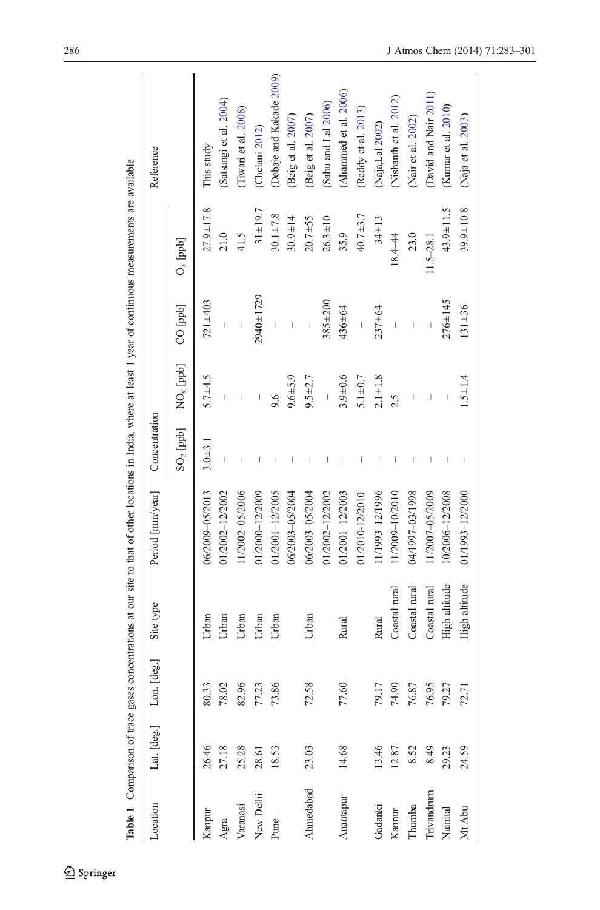<span id="page-3-0"></span>

|            |             |                   |               | Table 1 Comparison of trace gases concentrations at our site to that of other locations in India, where at least 1 year of continuous measurements are available |                                       |               |                                       |                      |                          |
|------------|-------------|-------------------|---------------|------------------------------------------------------------------------------------------------------------------------------------------------------------------|---------------------------------------|---------------|---------------------------------------|----------------------|--------------------------|
| Location   | Lat. [deg.] | [deg.]<br>$L$ on. | Site type     | Period [mm/year]                                                                                                                                                 | Concentration                         |               |                                       |                      | Reference                |
|            |             |                   |               |                                                                                                                                                                  | $SO2$ [ppb]                           | $NOx$ [ppb]   | CO [ppb]                              | $O_3$ $[\text{ppb}]$ |                          |
| Kanpur     | 26.46       | 80.33             | Urban         | 06/2009-05/2013                                                                                                                                                  | $3.0 + 3.1$                           | $5.7 + 4.5$   | $721 + 403$                           | $27.9 + 17.8$        | This study               |
| Agra       | 27.18       | $78.02$           | Urban         | 01/2002-12/2002                                                                                                                                                  | $\begin{array}{c} \hline \end{array}$ |               | $\begin{array}{c} \end{array}$        | 21.0                 | (Satsangi et al. 2004)   |
| Varanasi   | 25.28       | 82.96             | Urban         | 11/2002-05/2006                                                                                                                                                  | I                                     |               | $\overline{\phantom{a}}$              | 41.5                 | (Tiwari et al. 2008)     |
| New Delhi  | 28.61       | 77.23             | Urban         | 01/2000-12/2009                                                                                                                                                  | $\overline{\phantom{a}}$              |               | $2940 \pm 1729$                       | $31 + 19.7$          | (Chelani 2012)           |
| Pune       | 18.53       | 73.86             | Urban         | 01/2001-12/2005                                                                                                                                                  | I                                     | 9.6           | $\begin{array}{c} \hline \end{array}$ | $30.1 \pm 7.8$       | (Debaje and Kakade 2009) |
|            |             |                   |               | 06/2003-05/2004                                                                                                                                                  | $\overline{\phantom{a}}$              | $9.6 + 5.9$   | $\begin{array}{c} \hline \end{array}$ | $30.9 \pm 14$        | (Beig et al. 2007)       |
| Ahmedabad  | 23.03       | 72.58             | Urban         | 06/2003-05/2004                                                                                                                                                  | $\begin{array}{c} \end{array}$        | $9.5 + 2.7$   | $\begin{array}{c} \end{array}$        | $20.7 + 55$          | (Beig et al. 2007)       |
|            |             |                   |               | 01/2002-12/2002                                                                                                                                                  | $\begin{array}{c} \end{array}$        |               | $385 + 200$                           | $26.3 \pm 10$        | (Sahu and Lal 2006)      |
| Anantapur  | 14.68       | 77.60             | Rural         | 01/2001-12/2003                                                                                                                                                  | $\overline{\phantom{a}}$              | $3.9 + 0.6$   | $436 + 64$                            | 35.9                 | (Ahammed et al. 2006)    |
|            |             |                   |               | 01/2010-12/2010                                                                                                                                                  | $\mathsf I$                           | $5.1 \pm 0.7$ | $\overline{\phantom{a}}$              | $40.7 + 3.7$         | (Reddy et al. 2013)      |
| Gadanki    | 13.46       | 79.17             | Rural         | 11/1993-12/1996                                                                                                                                                  | $\overline{\phantom{a}}$              | $2.1 \pm 1.8$ | $237 + 64$                            | $34 \pm 13$          | (Naja,Lal 2002)          |
| Kannur     | 12.87       | 74.90             | Coastal rural | 11/2009-10/2010                                                                                                                                                  | $\overline{\phantom{a}}$              | 2.5           |                                       | 18.4-44              | (Nishanth et al. 2012)   |
| Thumba     | 8.52        | 76.87             | Coastal rural | 8661/20-7661/70                                                                                                                                                  | $\begin{array}{c} \end{array}$        |               | $\begin{array}{c} \end{array}$        | 23.0                 | (Nair et al. 2002)       |
| Trivandrum | 8.49        | 76.95             | Coastal rural | 11/2007-05/2009                                                                                                                                                  | I                                     |               |                                       | $11.5 - 28.1$        | (David and Nair 2011)    |
| Nainital   | 29.23       | 79.27             | High altitude | 10/2006-12/2008                                                                                                                                                  | $\overline{\phantom{a}}$              |               | $276 + 145$                           | $43.9 \pm 11.5$      | (Kunar et al. 2010)      |
| Mt Abu     | 24.59       | 72.71             | High altitude | 01/1993-12/2000                                                                                                                                                  |                                       | $1.5 \pm 1.4$ | $131 + 36$                            | $39.9 \pm 10.8$      | (Naja et al. 2003)       |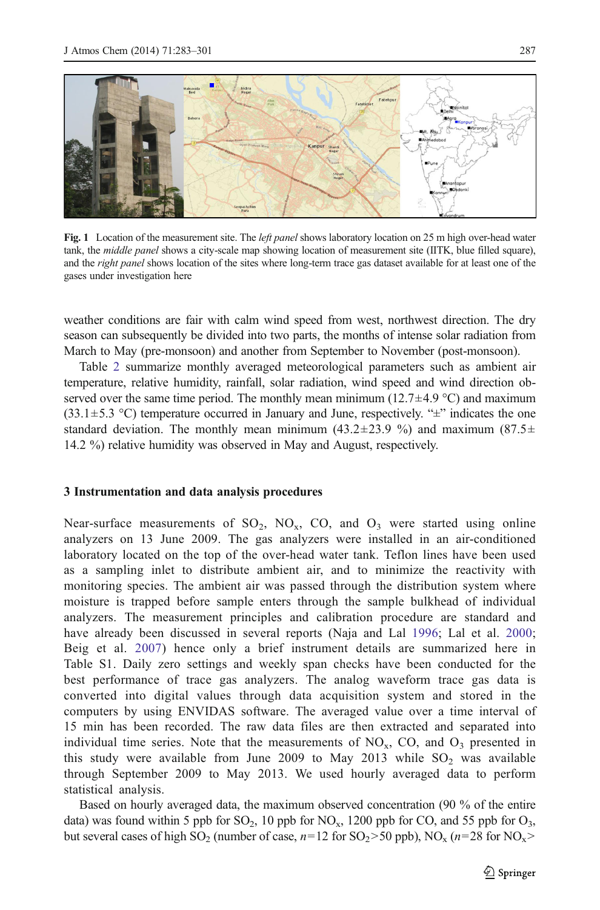<span id="page-4-0"></span>

Fig. 1 Location of the measurement site. The *left panel* shows laboratory location on 25 m high over-head water tank, the middle panel shows a city-scale map showing location of measurement site (IITK, blue filled square), and the *right panel* shows location of the sites where long-term trace gas dataset available for at least one of the gases under investigation here

weather conditions are fair with calm wind speed from west, northwest direction. The dry season can subsequently be divided into two parts, the months of intense solar radiation from March to May (pre-monsoon) and another from September to November (post-monsoon).

Table [2](#page-5-0) summarize monthly averaged meteorological parameters such as ambient air temperature, relative humidity, rainfall, solar radiation, wind speed and wind direction observed over the same time period. The monthly mean minimum ( $12.7\pm4.9$  °C) and maximum  $(33.1 \pm 5.3 \degree C)$  temperature occurred in January and June, respectively. " $\pm$ " indicates the one standard deviation. The monthly mean minimum (43.2 $\pm$ 23.9 %) and maximum (87.5 $\pm$ 14.2 %) relative humidity was observed in May and August, respectively.

#### 3 Instrumentation and data analysis procedures

Near-surface measurements of  $SO_2$ ,  $NO_x$ ,  $CO$ , and  $O_3$  were started using online analyzers on 13 June 2009. The gas analyzers were installed in an air-conditioned laboratory located on the top of the over-head water tank. Teflon lines have been used as a sampling inlet to distribute ambient air, and to minimize the reactivity with monitoring species. The ambient air was passed through the distribution system where moisture is trapped before sample enters through the sample bulkhead of individual analyzers. The measurement principles and calibration procedure are standard and have already been discussed in several reports (Naja and Lal [1996](#page-16-0); Lal et al. [2000](#page-15-0); Beig et al. [2007\)](#page-14-0) hence only a brief instrument details are summarized here in Table S1. Daily zero settings and weekly span checks have been conducted for the best performance of trace gas analyzers. The analog waveform trace gas data is converted into digital values through data acquisition system and stored in the computers by using ENVIDAS software. The averaged value over a time interval of 15 min has been recorded. The raw data files are then extracted and separated into individual time series. Note that the measurements of  $NO<sub>x</sub>$ , CO, and  $O<sub>3</sub>$  presented in this study were available from June 2009 to May 2013 while  $SO_2$  was available through September 2009 to May 2013. We used hourly averaged data to perform statistical analysis.

Based on hourly averaged data, the maximum observed concentration (90 % of the entire data) was found within 5 ppb for  $SO_2$ , 10 ppb for  $NO_x$ , 1200 ppb for  $CO$ , and 55 ppb for  $O_3$ , but several cases of high SO<sub>2</sub> (number of case,  $n=12$  for SO<sub>2</sub>>50 ppb), NO<sub>x</sub> ( $n=28$  for NO<sub>x</sub>>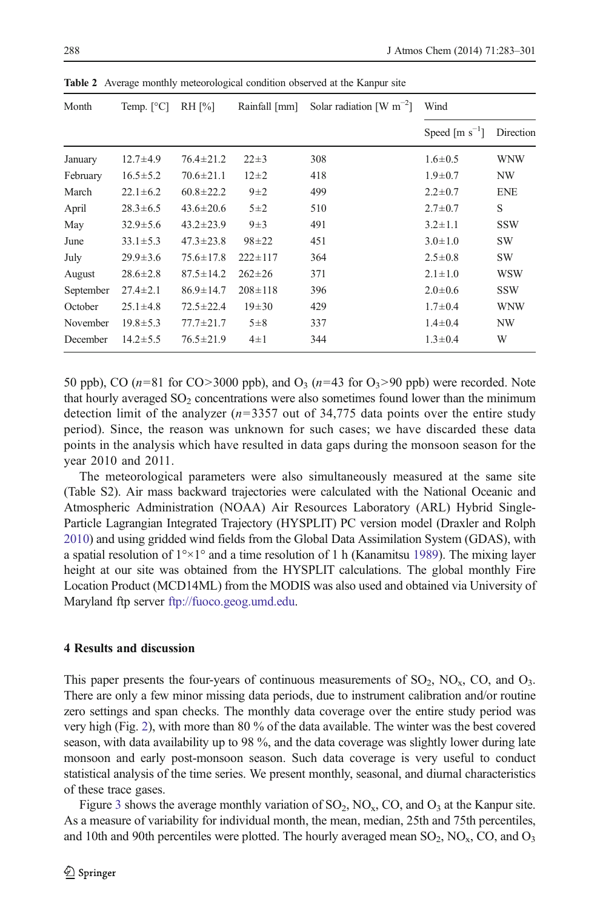| Month     | Temp. $[^{\circ}C]$ | $RH$ [%]        | Rainfall [mm] | Solar radiation $\lceil W \rceil^{-2}$ | Wind                 |            |
|-----------|---------------------|-----------------|---------------|----------------------------------------|----------------------|------------|
|           |                     |                 |               |                                        | Speed [ $m s^{-1}$ ] | Direction  |
| January   | $12.7 + 4.9$        | $76.4 \pm 21.2$ | $22 \pm 3$    | 308                                    | $1.6 \pm 0.5$        | <b>WNW</b> |
| February  | $16.5 \pm 5.2$      | $70.6 \pm 21.1$ | $12\pm 2$     | 418                                    | $1.9 \pm 0.7$        | NW         |
| March     | $22.1 \pm 6.2$      | $60.8 \pm 22.2$ | $9\pm2$       | 499                                    | $2.2 \pm 0.7$        | <b>ENE</b> |
| April     | $28.3 \pm 6.5$      | $43.6 \pm 20.6$ | $5\pm2$       | 510                                    | $2.7 \pm 0.7$        | S          |
| May       | $32.9 \pm 5.6$      | $43.2 \pm 23.9$ | $9\pm3$       | 491                                    | $3.2 \pm 1.1$        | <b>SSW</b> |
| June      | $33.1 \pm 5.3$      | $47.3 \pm 23.8$ | $98 + 22$     | 451                                    | $3.0 \pm 1.0$        | <b>SW</b>  |
| July      | $29.9 \pm 3.6$      | $75.6 \pm 17.8$ | $222 \pm 117$ | 364                                    | $2.5 \pm 0.8$        | <b>SW</b>  |
| August    | $28.6 \pm 2.8$      | $87.5 \pm 14.2$ | $262 + 26$    | 371                                    | $2.1 \pm 1.0$        | <b>WSW</b> |
| September | $27.4 \pm 2.1$      | $86.9 \pm 14.7$ | $208 \pm 118$ | 396                                    | $2.0 \pm 0.6$        | <b>SSW</b> |
| October   | $25.1 \pm 4.8$      | $72.5 \pm 22.4$ | $19 + 30$     | 429                                    | $1.7 \pm 0.4$        | <b>WNW</b> |
| November  | $19.8 \pm 5.3$      | $77.7 \pm 21.7$ | $5\pm8$       | 337                                    | $1.4 \pm 0.4$        | NW         |
| December  | $14.2 \pm 5.5$      | $76.5 \pm 21.9$ | $4\pm1$       | 344                                    | $1.3 \pm 0.4$        | W          |

<span id="page-5-0"></span>Table 2 Average monthly meteorological condition observed at the Kanpur site

50 ppb), CO ( $n=81$  for CO>3000 ppb), and  $O_3$  ( $n=43$  for  $O_3$ >90 ppb) were recorded. Note that hourly averaged  $SO<sub>2</sub>$  concentrations were also sometimes found lower than the minimum detection limit of the analyzer  $(n=3357)$  out of 34,775 data points over the entire study period). Since, the reason was unknown for such cases; we have discarded these data points in the analysis which have resulted in data gaps during the monsoon season for the year 2010 and 2011.

The meteorological parameters were also simultaneously measured at the same site (Table S2). Air mass backward trajectories were calculated with the National Oceanic and Atmospheric Administration (NOAA) Air Resources Laboratory (ARL) Hybrid Single-Particle Lagrangian Integrated Trajectory (HYSPLIT) PC version model (Draxler and Rolph [2010](#page-14-0)) and using gridded wind fields from the Global Data Assimilation System (GDAS), with a spatial resolution of  $1^{\circ} \times 1^{\circ}$  and a time resolution of 1 h (Kanamitsu [1989](#page-15-0)). The mixing layer height at our site was obtained from the HYSPLIT calculations. The global monthly Fire Location Product (MCD14ML) from the MODIS was also used and obtained via University of Maryland ftp server [ftp://fuoco.geog.umd.edu.](ftp://fuoco.geog.umd.edu/)

## 4 Results and discussion

This paper presents the four-years of continuous measurements of  $SO_2$ ,  $NO_x$ ,  $CO$ , and  $O_3$ . There are only a few minor missing data periods, due to instrument calibration and/or routine zero settings and span checks. The monthly data coverage over the entire study period was very high (Fig. [2\)](#page-6-0), with more than 80 % of the data available. The winter was the best covered season, with data availability up to 98 %, and the data coverage was slightly lower during late monsoon and early post-monsoon season. Such data coverage is very useful to conduct statistical analysis of the time series. We present monthly, seasonal, and diurnal characteristics of these trace gases.

Figure [3](#page-6-0) shows the average monthly variation of  $SO_2$ ,  $NO_x$ ,  $CO$ , and  $O_3$  at the Kanpur site. As a measure of variability for individual month, the mean, median, 25th and 75th percentiles, and 10th and 90th percentiles were plotted. The hourly averaged mean  $SO_2$ ,  $NO_x$ ,  $CO$ , and  $O_3$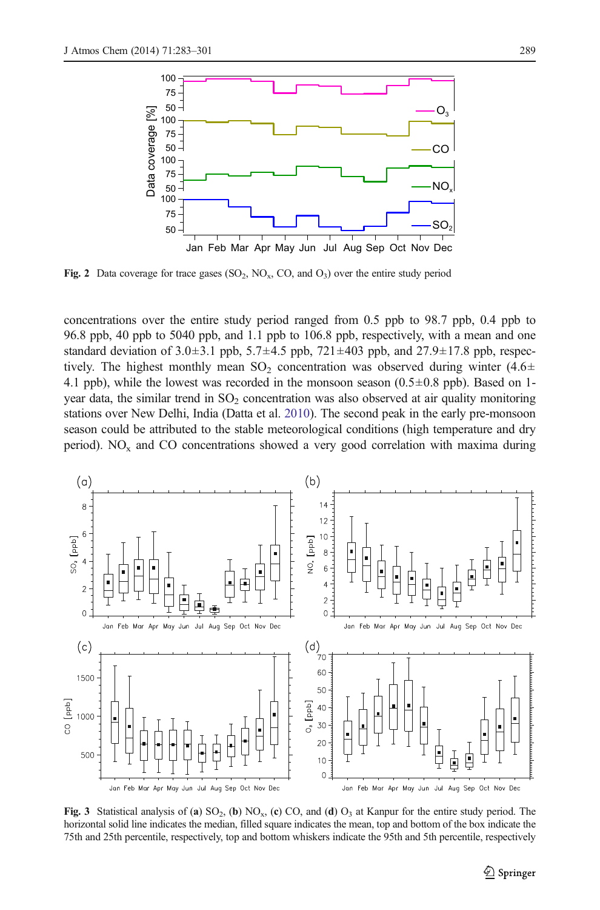<span id="page-6-0"></span>

Fig. 2 Data coverage for trace gases  $(SO_2, NO_x, CO, and O_3)$  over the entire study period

concentrations over the entire study period ranged from 0.5 ppb to 98.7 ppb, 0.4 ppb to 96.8 ppb, 40 ppb to 5040 ppb, and 1.1 ppb to 106.8 ppb, respectively, with a mean and one standard deviation of 3.0 $\pm$ 3.1 ppb, 5.7 $\pm$ 4.5 ppb, 721 $\pm$ 403 ppb, and 27.9 $\pm$ 17.8 ppb, respectively. The highest monthly mean  $SO_2$  concentration was observed during winter (4.6 $\pm$ 4.1 ppb), while the lowest was recorded in the monsoon season  $(0.5\pm0.8$  ppb). Based on 1year data, the similar trend in  $SO<sub>2</sub>$  concentration was also observed at air quality monitoring stations over New Delhi, India (Datta et al. [2010\)](#page-14-0). The second peak in the early pre-monsoon season could be attributed to the stable meteorological conditions (high temperature and dry period).  $NO<sub>x</sub>$  and  $CO$  concentrations showed a very good correlation with maxima during



Fig. 3 Statistical analysis of (a)  $SO_2$ , (b)  $NO_x$ , (c)  $CO$ , and (d)  $O_3$  at Kanpur for the entire study period. The horizontal solid line indicates the median, filled square indicates the mean, top and bottom of the box indicate the 75th and 25th percentile, respectively, top and bottom whiskers indicate the 95th and 5th percentile, respectively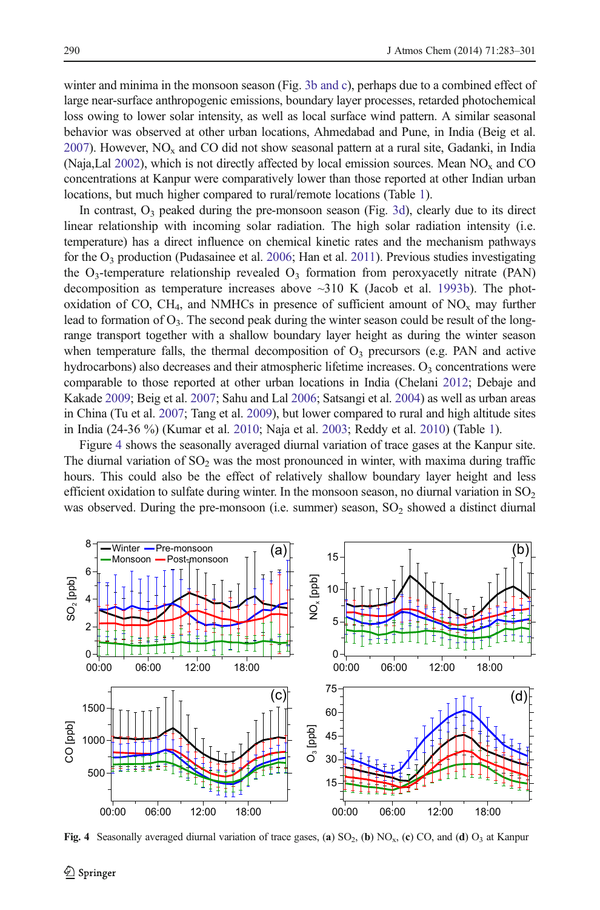<span id="page-7-0"></span>winter and minima in the monsoon season (Fig. [3b and c](#page-6-0)), perhaps due to a combined effect of large near-surface anthropogenic emissions, boundary layer processes, retarded photochemical loss owing to lower solar intensity, as well as local surface wind pattern. A similar seasonal behavior was observed at other urban locations, Ahmedabad and Pune, in India (Beig et al.  $2007$ ). However, NO<sub>x</sub> and CO did not show seasonal pattern at a rural site, Gadanki, in India (Naja,Lal [2002\)](#page-16-0), which is not directly affected by local emission sources. Mean  $NO<sub>x</sub>$  and CO concentrations at Kanpur were comparatively lower than those reported at other Indian urban locations, but much higher compared to rural/remote locations (Table [1\)](#page-3-0).

In contrast,  $O_3$  peaked during the pre-monsoon season (Fig. [3d\)](#page-6-0), clearly due to its direct linear relationship with incoming solar radiation. The high solar radiation intensity (i.e. temperature) has a direct influence on chemical kinetic rates and the mechanism pathways for the  $O_3$  production (Pudasainee et al. [2006;](#page-16-0) Han et al. [2011](#page-15-0)). Previous studies investigating the  $O_3$ -temperature relationship revealed  $O_3$  formation from peroxyacetly nitrate (PAN) decomposition as temperature increases above  $\sim$ 310 K (Jacob et al. [1993b](#page-15-0)). The photoxidation of CO, CH<sub>4</sub>, and NMHCs in presence of sufficient amount of  $NO<sub>x</sub>$  may further lead to formation of  $O_3$ . The second peak during the winter season could be result of the longrange transport together with a shallow boundary layer height as during the winter season when temperature falls, the thermal decomposition of  $O<sub>3</sub>$  precursors (e.g. PAN and active hydrocarbons) also decreases and their atmospheric lifetime increases.  $O<sub>3</sub>$  concentrations were comparable to those reported at other urban locations in India (Chelani [2012](#page-14-0); Debaje and Kakade [2009;](#page-14-0) Beig et al. [2007](#page-14-0); Sahu and Lal [2006;](#page-17-0) Satsangi et al. [2004](#page-17-0)) as well as urban areas in China (Tu et al. [2007;](#page-17-0) Tang et al. [2009](#page-17-0)), but lower compared to rural and high altitude sites in India (24-36 %) (Kumar et al. [2010;](#page-15-0) Naja et al. [2003;](#page-16-0) Reddy et al. [2010](#page-16-0)) (Table [1\)](#page-3-0).

Figure 4 shows the seasonally averaged diurnal variation of trace gases at the Kanpur site. The diurnal variation of  $SO_2$  was the most pronounced in winter, with maxima during traffic hours. This could also be the effect of relatively shallow boundary layer height and less efficient oxidation to sulfate during winter. In the monsoon season, no diurnal variation in  $SO<sub>2</sub>$ was observed. During the pre-monsoon (i.e. summer) season,  $SO_2$  showed a distinct diurnal



Fig. 4 Seasonally averaged diurnal variation of trace gases, (a)  $SO_2$ , (b)  $NO_x$ , (c)  $CO$ , and (d)  $O_3$  at Kanpur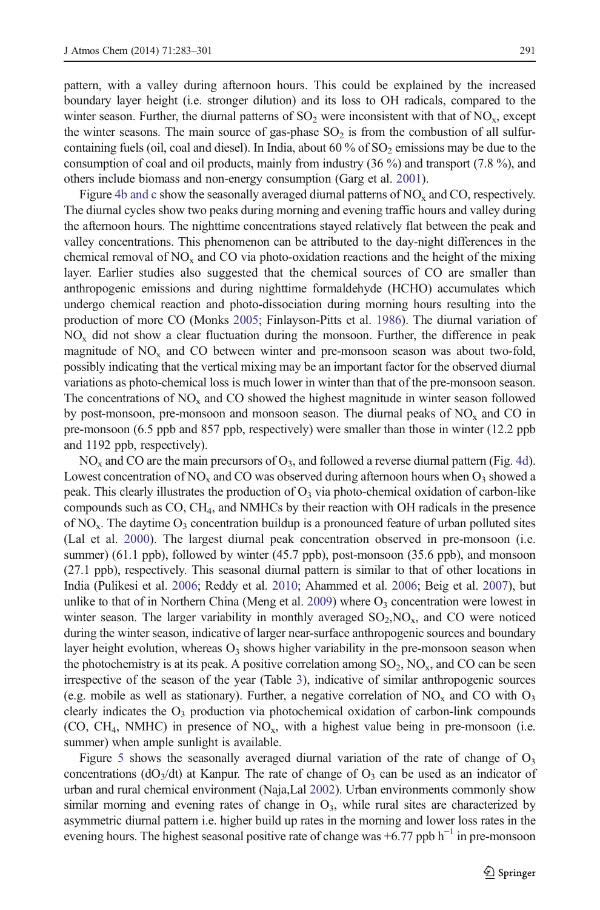pattern, with a valley during afternoon hours. This could be explained by the increased boundary layer height (i.e. stronger dilution) and its loss to OH radicals, compared to the winter season. Further, the diurnal patterns of  $SO_2$  were inconsistent with that of  $NO_x$ , except the winter seasons. The main source of gas-phase  $SO<sub>2</sub>$  is from the combustion of all sulfurcontaining fuels (oil, coal and diesel). In India, about 60 % of  $SO<sub>2</sub>$  emissions may be due to the consumption of coal and oil products, mainly from industry (36 %) and transport (7.8 %), and others include biomass and non-energy consumption (Garg et al. [2001\)](#page-15-0).

Figure [4b and c](#page-7-0) show the seasonally averaged diurnal patterns of  $NO<sub>x</sub>$  and CO, respectively. The diurnal cycles show two peaks during morning and evening traffic hours and valley during the afternoon hours. The nighttime concentrations stayed relatively flat between the peak and valley concentrations. This phenomenon can be attributed to the day-night differences in the chemical removal of  $NO_x$  and CO via photo-oxidation reactions and the height of the mixing layer. Earlier studies also suggested that the chemical sources of CO are smaller than anthropogenic emissions and during nighttime formaldehyde (HCHO) accumulates which undergo chemical reaction and photo-dissociation during morning hours resulting into the production of more CO (Monks [2005](#page-16-0); Finlayson-Pitts et al. [1986](#page-14-0)). The diurnal variation of  $NO<sub>x</sub>$  did not show a clear fluctuation during the monsoon. Further, the difference in peak magnitude of  $NO<sub>x</sub>$  and CO between winter and pre-monsoon season was about two-fold, possibly indicating that the vertical mixing may be an important factor for the observed diurnal variations as photo-chemical loss is much lower in winter than that of the pre-monsoon season. The concentrations of  $NO<sub>x</sub>$  and CO showed the highest magnitude in winter season followed by post-monsoon, pre-monsoon and monsoon season. The diurnal peaks of  $NO<sub>x</sub>$  and CO in pre-monsoon (6.5 ppb and 857 ppb, respectively) were smaller than those in winter (12.2 ppb and 1192 ppb, respectively).

 $NO<sub>x</sub>$  and CO are the main precursors of  $O<sub>3</sub>$ , and followed a reverse diurnal pattern (Fig. [4d](#page-7-0)). Lowest concentration of  $NO<sub>x</sub>$  and CO was observed during afternoon hours when  $O<sub>3</sub>$  showed a peak. This clearly illustrates the production of  $O<sub>3</sub>$  via photo-chemical oxidation of carbon-like compounds such as CO, CH4, and NMHCs by their reaction with OH radicals in the presence of  $NO<sub>x</sub>$ . The daytime  $O<sub>3</sub>$  concentration buildup is a pronounced feature of urban polluted sites (Lal et al. [2000\)](#page-15-0). The largest diurnal peak concentration observed in pre-monsoon (i.e. summer) (61.1 ppb), followed by winter (45.7 ppb), post-monsoon (35.6 ppb), and monsoon (27.1 ppb), respectively. This seasonal diurnal pattern is similar to that of other locations in India (Pulikesi et al. [2006;](#page-16-0) Reddy et al. [2010;](#page-16-0) Ahammed et al. [2006;](#page-14-0) Beig et al. [2007](#page-14-0)), but unlike to that of in Northern China (Meng et al. [2009\)](#page-16-0) where  $O_3$  concentration were lowest in winter season. The larger variability in monthly averaged  $SO_2$ , NO<sub>x</sub>, and CO were noticed during the winter season, indicative of larger near-surface anthropogenic sources and boundary layer height evolution, whereas  $O_3$  shows higher variability in the pre-monsoon season when the photochemistry is at its peak. A positive correlation among  $SO_2$ ,  $NO_x$ , and  $CO$  can be seen irrespective of the season of the year (Table [3\)](#page-9-0), indicative of similar anthropogenic sources (e.g. mobile as well as stationary). Further, a negative correlation of  $NO_x$  and CO with  $O_3$ clearly indicates the  $O_3$  production via photochemical oxidation of carbon-link compounds (CO, CH<sub>4</sub>, NMHC) in presence of  $NO<sub>x</sub>$ , with a highest value being in pre-monsoon (i.e. summer) when ample sunlight is available.

Figure [5](#page-9-0) shows the seasonally averaged diurnal variation of the rate of change of  $O<sub>3</sub>$ concentrations ( $dO_3/dt$ ) at Kanpur. The rate of change of  $O_3$  can be used as an indicator of urban and rural chemical environment (Naja,Lal [2002](#page-16-0)). Urban environments commonly show similar morning and evening rates of change in  $O_3$ , while rural sites are characterized by asymmetric diurnal pattern i.e. higher build up rates in the morning and lower loss rates in the evening hours. The highest seasonal positive rate of change was  $+6.77$  ppb h<sup>-1</sup> in pre-monsoon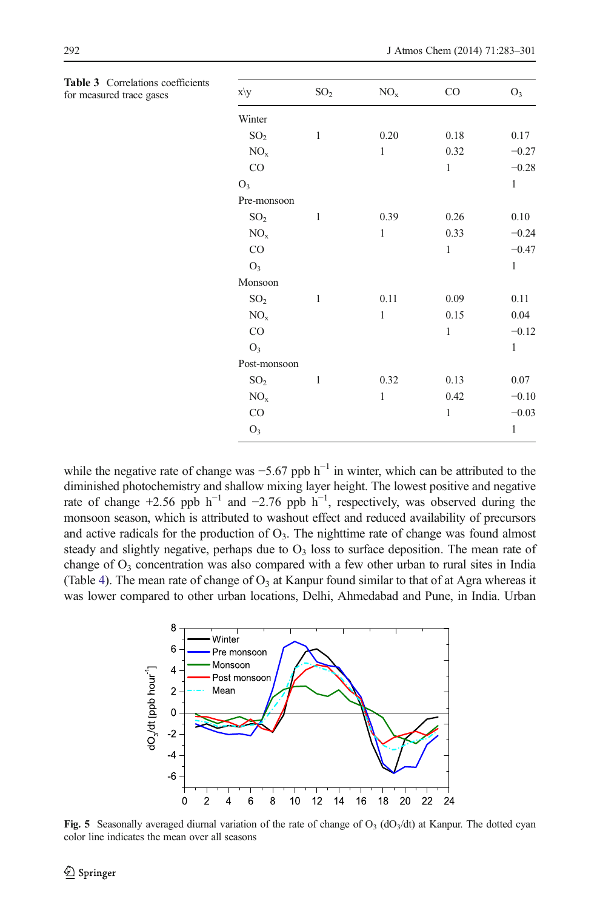| ons coefficients<br>gases | x\y             | SO <sub>2</sub> | $\rm NO_x$   | CO           | $O_3$        |
|---------------------------|-----------------|-----------------|--------------|--------------|--------------|
|                           | Winter          |                 |              |              |              |
|                           | SO <sub>2</sub> | $\mathbf{1}$    | 0.20         | 0.18         | 0.17         |
|                           | NO <sub>x</sub> |                 | $\mathbf{1}$ | 0.32         | $-0.27$      |
|                           | CO              |                 |              | $\mathbf{1}$ | $-0.28$      |
|                           | O <sub>3</sub>  |                 |              |              | $\mathbf{1}$ |
|                           | Pre-monsoon     |                 |              |              |              |
|                           | SO <sub>2</sub> | $\mathbf{1}$    | 0.39         | 0.26         | $0.10\,$     |
|                           | $\rm NO_x$      |                 | $\mathbf{1}$ | 0.33         | $-0.24$      |
|                           | CO              |                 |              | $\mathbf{1}$ | $-0.47$      |
|                           | $O_3$           |                 |              |              | $\mathbf{1}$ |
|                           | Monsoon         |                 |              |              |              |
|                           | SO <sub>2</sub> | $\mathbf{1}$    | 0.11         | 0.09         | 0.11         |
|                           | NO <sub>x</sub> |                 | $\mathbf{1}$ | 0.15         | 0.04         |
|                           | $_{\rm CO}$     |                 |              | $\mathbf{1}$ | $-0.12$      |
|                           | $O_3$           |                 |              |              | $\mathbf{1}$ |
|                           | Post-monsoon    |                 |              |              |              |
|                           | SO <sub>2</sub> | $\mathbf{1}$    | 0.32         | 0.13         | $0.07\,$     |
|                           | NO <sub>x</sub> |                 | $\mathbf{1}$ | 0.42         | $-0.10$      |
|                           | $\rm CO$        |                 |              | $\mathbf{1}$ | $-0.03$      |
|                           | $O_3$           |                 |              |              | $\mathbf{1}$ |

<span id="page-9-0"></span>Table 3 Correlations for measured trace

while the negative rate of change was  $-5.67$  ppb  $h^{-1}$  in winter, which can be attributed to the diminished photochemistry and shallow mixing layer height. The lowest positive and negative rate of change +2.56 ppb  $h^{-1}$  and -2.76 ppb  $h^{-1}$ , respectively, was observed during the monsoon season, which is attributed to washout effect and reduced availability of precursors and active radicals for the production of  $O<sub>3</sub>$ . The nighttime rate of change was found almost steady and slightly negative, perhaps due to  $O<sub>3</sub>$  loss to surface deposition. The mean rate of change of  $O_3$  concentration was also compared with a few other urban to rural sites in India (Table [4\)](#page-10-0). The mean rate of change of  $O_3$  at Kanpur found similar to that of at Agra whereas it was lower compared to other urban locations, Delhi, Ahmedabad and Pune, in India. Urban



Fig. 5 Seasonally averaged diurnal variation of the rate of change of  $O_3$  (dO<sub>3</sub>/dt) at Kanpur. The dotted cyan color line indicates the mean over all seasons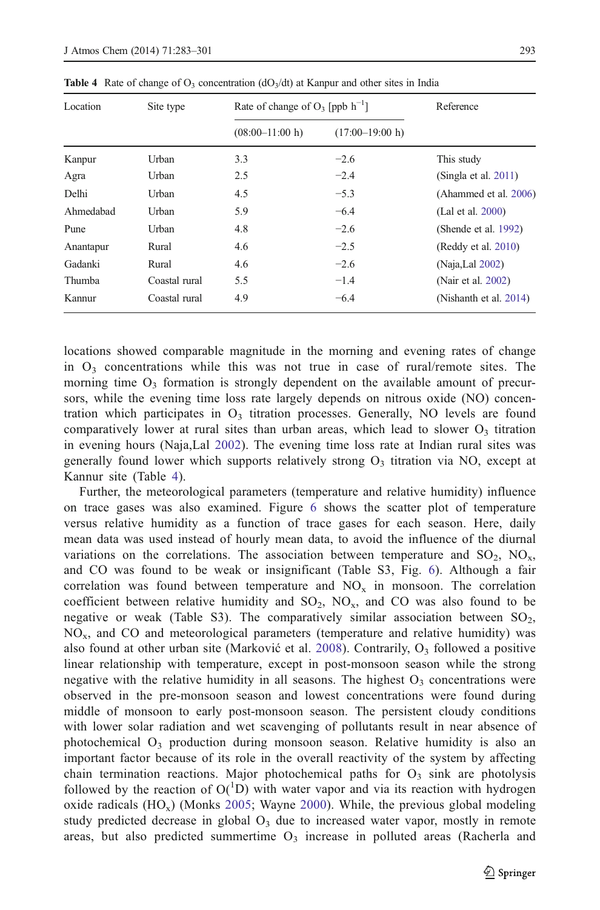| Location  | Site type     | Rate of change of $O_3$ [ppb $h^{-1}$ ] | Reference         |                         |
|-----------|---------------|-----------------------------------------|-------------------|-------------------------|
|           |               | $(08:00-11:00 h)$                       | $(17:00-19:00 h)$ |                         |
| Kanpur    | Urban         | 3.3                                     | $-2.6$            | This study              |
| Agra      | Urban         | 2.5                                     | $-2.4$            | (Singla et al. $2011$ ) |
| Delhi     | Urban         | 4.5                                     | $-5.3$            | (Ahammed et al. 2006)   |
| Ahmedabad | Urban         | 5.9                                     | $-6.4$            | (Lal et al. 2000)       |
| Pune      | Urban         | 4.8                                     | $-2.6$            | (Shende et al. 1992)    |
| Anantapur | Rural         | 4.6                                     | $-2.5$            | (Reddy et al. 2010)     |
| Gadanki   | Rural         | 4.6                                     | $-2.6$            | (Naja, Lal 2002)        |
| Thumba    | Coastal rural | 5.5                                     | $-1.4$            | (Nair et al. 2002)      |
| Kannur    | Coastal rural | 4.9                                     | $-6.4$            | (Nishanth et al. 2014)  |

<span id="page-10-0"></span>**Table 4** Rate of change of  $O_3$  concentration (dO<sub>3</sub>/dt) at Kanpur and other sites in India

locations showed comparable magnitude in the morning and evening rates of change in  $O_3$  concentrations while this was not true in case of rural/remote sites. The morning time  $O_3$  formation is strongly dependent on the available amount of precursors, while the evening time loss rate largely depends on nitrous oxide (NO) concentration which participates in  $O<sub>3</sub>$  titration processes. Generally, NO levels are found comparatively lower at rural sites than urban areas, which lead to slower  $O_3$  titration in evening hours (Naja,Lal [2002\)](#page-16-0). The evening time loss rate at Indian rural sites was generally found lower which supports relatively strong  $O<sub>3</sub>$  titration via NO, except at Kannur site (Table 4).

Further, the meteorological parameters (temperature and relative humidity) influence on trace gases was also examined. Figure [6](#page-11-0) shows the scatter plot of temperature versus relative humidity as a function of trace gases for each season. Here, daily mean data was used instead of hourly mean data, to avoid the influence of the diurnal variations on the correlations. The association between temperature and  $SO_2$ ,  $NO<sub>x</sub>$ , and CO was found to be weak or insignificant (Table S3, Fig. [6\)](#page-11-0). Although a fair correlation was found between temperature and  $NO<sub>x</sub>$  in monsoon. The correlation coefficient between relative humidity and  $SO_2$ ,  $NO_x$ , and  $CO$  was also found to be negative or weak (Table S3). The comparatively similar association between  $SO<sub>2</sub>$ ,  $NO<sub>x</sub>$ , and CO and meteorological parameters (temperature and relative humidity) was also found at other urban site (Marković et al. [2008\)](#page-16-0). Contrarily,  $O_3$  followed a positive linear relationship with temperature, except in post-monsoon season while the strong negative with the relative humidity in all seasons. The highest  $O<sub>3</sub>$  concentrations were observed in the pre-monsoon season and lowest concentrations were found during middle of monsoon to early post-monsoon season. The persistent cloudy conditions with lower solar radiation and wet scavenging of pollutants result in near absence of photochemical  $O_3$  production during monsoon season. Relative humidity is also an important factor because of its role in the overall reactivity of the system by affecting chain termination reactions. Major photochemical paths for  $O<sub>3</sub>$  sink are photolysis followed by the reaction of  $O(^1D)$  with water vapor and via its reaction with hydrogen oxide radicals  $(HO_x)$  (Monks [2005](#page-16-0); Wayne [2000](#page-17-0)). While, the previous global modeling study predicted decrease in global  $O<sub>3</sub>$  due to increased water vapor, mostly in remote areas, but also predicted summertime  $O<sub>3</sub>$  increase in polluted areas (Racherla and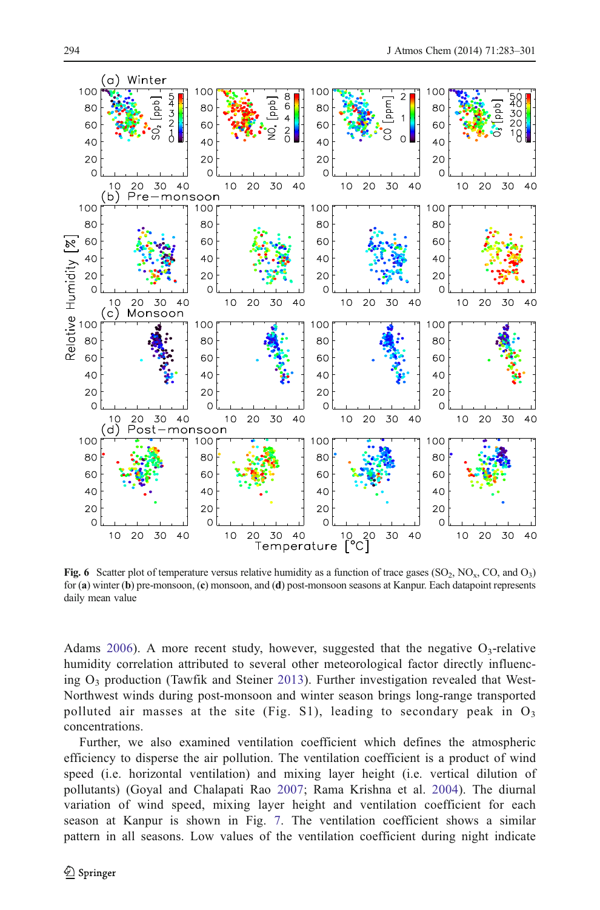<span id="page-11-0"></span>

Fig. 6 Scatter plot of temperature versus relative humidity as a function of trace gases (SO<sub>2</sub>, NO<sub>x</sub>, CO, and O<sub>3</sub>) for (a) winter (b) pre-monsoon, (c) monsoon, and (d) post-monsoon seasons at Kanpur. Each datapoint represents daily mean value

Adams [2006](#page-16-0)). A more recent study, however, suggested that the negative  $O_3$ -relative humidity correlation attributed to several other meteorological factor directly influencing  $O_3$  production (Tawfik and Steiner [2013\)](#page-17-0). Further investigation revealed that West-Northwest winds during post-monsoon and winter season brings long-range transported polluted air masses at the site (Fig. S1), leading to secondary peak in  $O_3$ concentrations.

Further, we also examined ventilation coefficient which defines the atmospheric efficiency to disperse the air pollution. The ventilation coefficient is a product of wind speed (i.e. horizontal ventilation) and mixing layer height (i.e. vertical dilution of pollutants) (Goyal and Chalapati Rao [2007;](#page-15-0) Rama Krishna et al. [2004\)](#page-16-0). The diurnal variation of wind speed, mixing layer height and ventilation coefficient for each season at Kanpur is shown in Fig. [7.](#page-12-0) The ventilation coefficient shows a similar pattern in all seasons. Low values of the ventilation coefficient during night indicate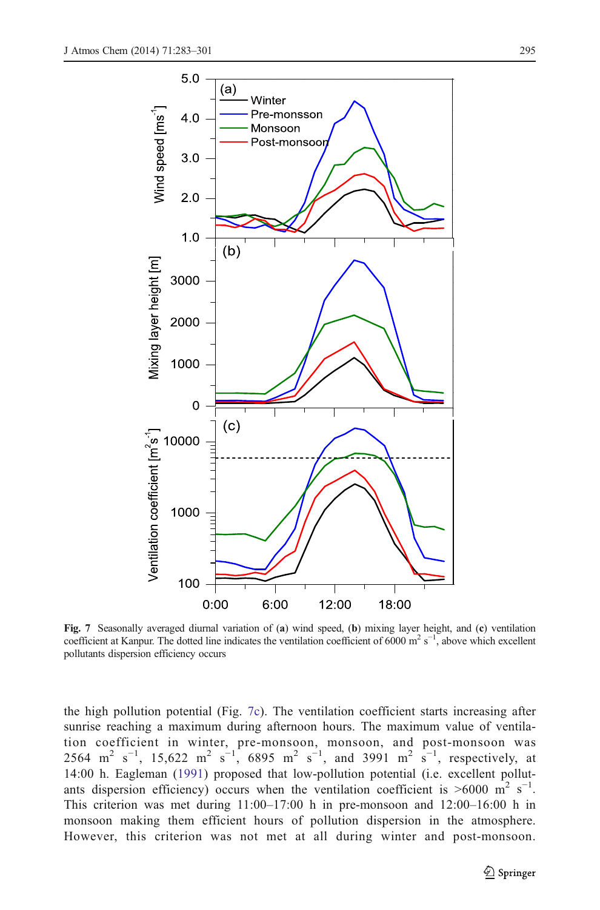<span id="page-12-0"></span>

Fig. 7 Seasonally averaged diurnal variation of (a) wind speed, (b) mixing layer height, and (c) ventilation coefficient at Kanpur. The dotted line indicates the ventilation coefficient of 6000 m<sup>2</sup> s<sup>-1</sup>, above which excellent pollutants dispersion efficiency occurs

the high pollution potential (Fig. 7c). The ventilation coefficient starts increasing after sunrise reaching a maximum during afternoon hours. The maximum value of ventilation coefficient in winter, pre-monsoon, monsoon, and post-monsoon was 2564 m<sup>2</sup> s<sup>-1</sup>, 15,622 m<sup>2</sup> s<sup>-1</sup>, 6895 m<sup>2</sup> s<sup>-1</sup>, and 3991 m<sup>2</sup> s<sup>-1</sup>, respectively, at 14:00 h. Eagleman ([1991](#page-14-0)) proposed that low-pollution potential (i.e. excellent pollutants dispersion efficiency) occurs when the ventilation coefficient is >6000 m<sup>2</sup> s<sup>-1</sup>. This criterion was met during 11:00–17:00 h in pre-monsoon and 12:00–16:00 h in monsoon making them efficient hours of pollution dispersion in the atmosphere. However, this criterion was not met at all during winter and post-monsoon.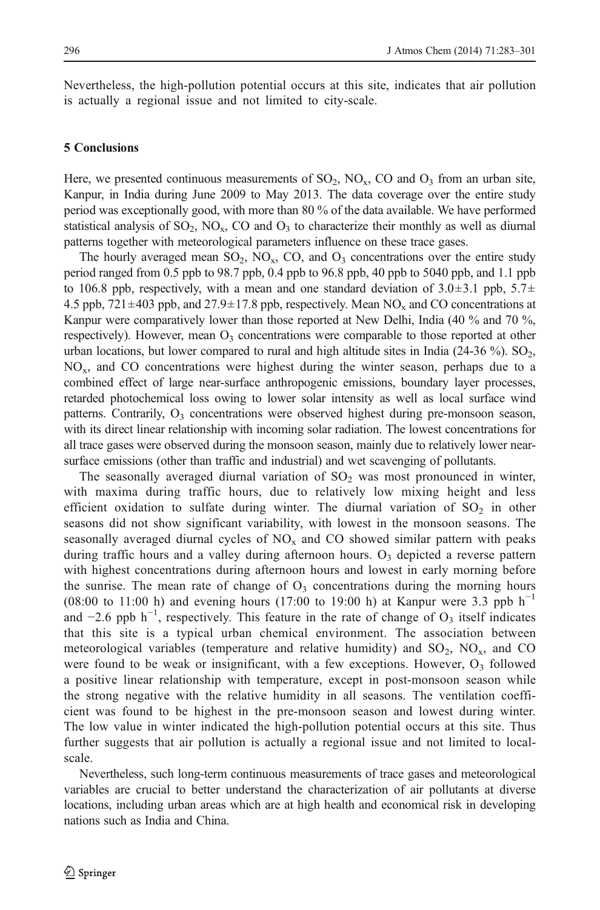Nevertheless, the high-pollution potential occurs at this site, indicates that air pollution is actually a regional issue and not limited to city-scale.

## 5 Conclusions

Here, we presented continuous measurements of  $SO_2$ ,  $NO<sub>x</sub>$ ,  $CO$  and  $O<sub>3</sub>$  from an urban site, Kanpur, in India during June 2009 to May 2013. The data coverage over the entire study period was exceptionally good, with more than 80 % of the data available. We have performed statistical analysis of  $SO_2$ ,  $NO_x$ ,  $CO$  and  $O_3$  to characterize their monthly as well as diurnal patterns together with meteorological parameters influence on these trace gases.

The hourly averaged mean  $SO_2$ ,  $NO_x$ ,  $CO$ , and  $O_3$  concentrations over the entire study period ranged from 0.5 ppb to 98.7 ppb, 0.4 ppb to 96.8 ppb, 40 ppb to 5040 ppb, and 1.1 ppb to 106.8 ppb, respectively, with a mean and one standard deviation of  $3.0\pm3.1$  ppb,  $5.7\pm$ 4.5 ppb,  $721 \pm 403$  ppb, and  $27.9 \pm 17.8$  ppb, respectively. Mean NO<sub>x</sub> and CO concentrations at Kanpur were comparatively lower than those reported at New Delhi, India (40 % and 70 %, respectively). However, mean  $O_3$  concentrations were comparable to those reported at other urban locations, but lower compared to rural and high altitude sites in India (24-36 %).  $SO_2$ ,  $NO<sub>x</sub>$ , and CO concentrations were highest during the winter season, perhaps due to a combined effect of large near-surface anthropogenic emissions, boundary layer processes, retarded photochemical loss owing to lower solar intensity as well as local surface wind patterns. Contrarily,  $O_3$  concentrations were observed highest during pre-monsoon season, with its direct linear relationship with incoming solar radiation. The lowest concentrations for all trace gases were observed during the monsoon season, mainly due to relatively lower nearsurface emissions (other than traffic and industrial) and wet scavenging of pollutants.

The seasonally averaged diurnal variation of  $SO<sub>2</sub>$  was most pronounced in winter, with maxima during traffic hours, due to relatively low mixing height and less efficient oxidation to sulfate during winter. The diurnal variation of  $SO_2$  in other seasons did not show significant variability, with lowest in the monsoon seasons. The seasonally averaged diurnal cycles of  $NO<sub>x</sub>$  and CO showed similar pattern with peaks during traffic hours and a valley during afternoon hours.  $O<sub>3</sub>$  depicted a reverse pattern with highest concentrations during afternoon hours and lowest in early morning before the sunrise. The mean rate of change of  $O<sub>3</sub>$  concentrations during the morning hours (08:00 to 11:00 h) and evening hours (17:00 to 19:00 h) at Kanpur were 3.3 ppb  $h^{-1}$ and  $-2.6$  ppb h<sup>-1</sup>, respectively. This feature in the rate of change of O<sub>3</sub> itself indicates that this site is a typical urban chemical environment. The association between meteorological variables (temperature and relative humidity) and  $SO_2$ ,  $NO<sub>x</sub>$ , and CO were found to be weak or insignificant, with a few exceptions. However,  $O_3$  followed a positive linear relationship with temperature, except in post-monsoon season while the strong negative with the relative humidity in all seasons. The ventilation coefficient was found to be highest in the pre-monsoon season and lowest during winter. The low value in winter indicated the high-pollution potential occurs at this site. Thus further suggests that air pollution is actually a regional issue and not limited to localscale.

Nevertheless, such long-term continuous measurements of trace gases and meteorological variables are crucial to better understand the characterization of air pollutants at diverse locations, including urban areas which are at high health and economical risk in developing nations such as India and China.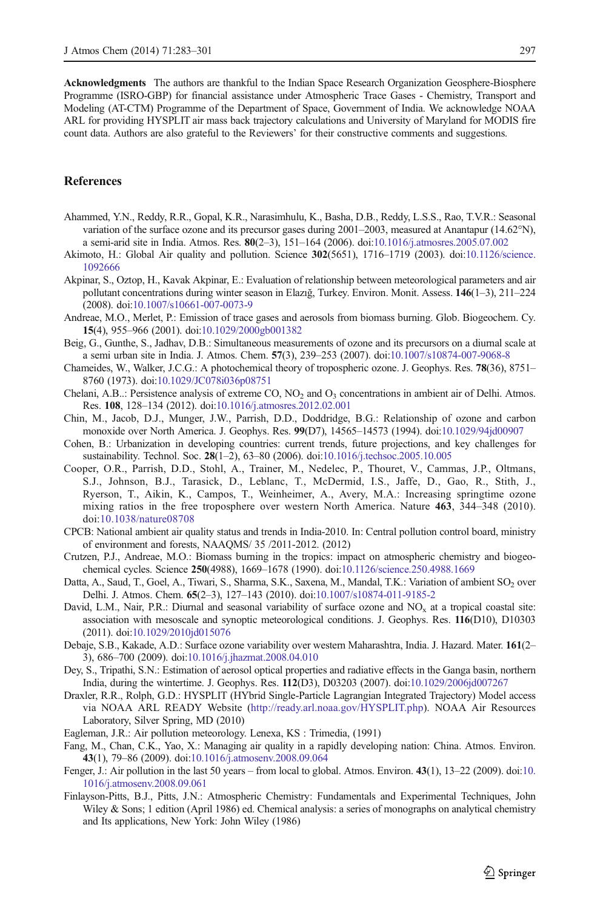<span id="page-14-0"></span>Acknowledgments The authors are thankful to the Indian Space Research Organization Geosphere-Biosphere Programme (ISRO-GBP) for financial assistance under Atmospheric Trace Gases - Chemistry, Transport and Modeling (AT-CTM) Programme of the Department of Space, Government of India. We acknowledge NOAA ARL for providing HYSPLIT air mass back trajectory calculations and University of Maryland for MODIS fire count data. Authors are also grateful to the Reviewers' for their constructive comments and suggestions.

## References

- Ahammed, Y.N., Reddy, R.R., Gopal, K.R., Narasimhulu, K., Basha, D.B., Reddy, L.S.S., Rao, T.V.R.: Seasonal variation of the surface ozone and its precursor gases during 2001–2003, measured at Anantapur (14.62°N), a semi-arid site in India. Atmos. Res. 80(2–3), 151–164 (2006). doi:[10.1016/j.atmosres.2005.07.002](http://dx.doi.org/10.1016/j.atmosres.2005.07.002)
- Akimoto, H.: Global Air quality and pollution. Science 302(5651), 1716–1719 (2003). doi[:10.1126/science.](http://dx.doi.org/10.1126/science.1092666) [1092666](http://dx.doi.org/10.1126/science.1092666)
- Akpinar, S., Oztop, H., Kavak Akpinar, E.: Evaluation of relationship between meteorological parameters and air pollutant concentrations during winter season in Elazığ, Turkey. Environ. Monit. Assess. 146(1–3), 211–224 (2008). doi[:10.1007/s10661-007-0073-9](http://dx.doi.org/10.1007/s10661-007-0073-9)
- Andreae, M.O., Merlet, P.: Emission of trace gases and aerosols from biomass burning. Glob. Biogeochem. Cy. 15(4), 955–966 (2001). doi:[10.1029/2000gb001382](http://dx.doi.org/10.1029/2000gb001382)
- Beig, G., Gunthe, S., Jadhav, D.B.: Simultaneous measurements of ozone and its precursors on a diurnal scale at a semi urban site in India. J. Atmos. Chem. 57(3), 239–253 (2007). doi[:10.1007/s10874-007-9068-8](http://dx.doi.org/10.1007/s10874-007-9068-8)
- Chameides, W., Walker, J.C.G.: A photochemical theory of tropospheric ozone. J. Geophys. Res. 78(36), 8751– 8760 (1973). doi[:10.1029/JC078i036p08751](http://dx.doi.org/10.1029/JC078i036p08751)
- Chelani, A.B..: Persistence analysis of extreme CO,  $NO<sub>2</sub>$  and  $O<sub>3</sub>$  concentrations in ambient air of Delhi. Atmos. Res. 108, 128–134 (2012). doi:[10.1016/j.atmosres.2012.02.001](http://dx.doi.org/10.1016/j.atmosres.2012.02.001)
- Chin, M., Jacob, D.J., Munger, J.W., Parrish, D.D., Doddridge, B.G.: Relationship of ozone and carbon monoxide over North America. J. Geophys. Res. 99(D7), 14565–14573 (1994). doi:[10.1029/94jd00907](http://dx.doi.org/10.1029/94jd00907)
- Cohen, B.: Urbanization in developing countries: current trends, future projections, and key challenges for sustainability. Technol. Soc. 28(1–2), 63–80 (2006). doi:[10.1016/j.techsoc.2005.10.005](http://dx.doi.org/10.1016/j.techsoc.2005.10.005)
- Cooper, O.R., Parrish, D.D., Stohl, A., Trainer, M., Nedelec, P., Thouret, V., Cammas, J.P., Oltmans, S.J., Johnson, B.J., Tarasick, D., Leblanc, T., McDermid, I.S., Jaffe, D., Gao, R., Stith, J., Ryerson, T., Aikin, K., Campos, T., Weinheimer, A., Avery, M.A.: Increasing springtime ozone mixing ratios in the free troposphere over western North America. Nature 463, 344–348 (2010). doi[:10.1038/nature08708](http://dx.doi.org/10.1038/nature08708)
- CPCB: National ambient air quality status and trends in India-2010. In: Central pollution control board, ministry of environment and forests, NAAQMS/ 35 /2011-2012. (2012)
- Crutzen, P.J., Andreae, M.O.: Biomass burning in the tropics: impact on atmospheric chemistry and biogeochemical cycles. Science 250(4988), 1669–1678 (1990). doi[:10.1126/science.250.4988.1669](http://dx.doi.org/10.1126/science.250.4988.1669)
- Datta, A., Saud, T., Goel, A., Tiwari, S., Sharma, S.K., Saxena, M., Mandal, T.K.: Variation of ambient SO<sub>2</sub> over Delhi. J. Atmos. Chem. 65(2–3), 127–143 (2010). doi[:10.1007/s10874-011-9185-2](http://dx.doi.org/10.1007/s10874-011-9185-2)
- David, L.M., Nair, P.R.: Diurnal and seasonal variability of surface ozone and  $NO<sub>x</sub>$  at a tropical coastal site: association with mesoscale and synoptic meteorological conditions. J. Geophys. Res. 116(D10), D10303 (2011). doi[:10.1029/2010jd015076](http://dx.doi.org/10.1029/2010jd015076)
- Debaje, S.B., Kakade, A.D.: Surface ozone variability over western Maharashtra, India. J. Hazard. Mater. 161(2– 3), 686–700 (2009). doi[:10.1016/j.jhazmat.2008.04.010](http://dx.doi.org/10.1016/j.jhazmat.2008.04.010)
- Dey, S., Tripathi, S.N.: Estimation of aerosol optical properties and radiative effects in the Ganga basin, northern India, during the wintertime. J. Geophys. Res. 112(D3), D03203 (2007). doi:[10.1029/2006jd007267](http://dx.doi.org/10.1029/2006jd007267)
- Draxler, R.R., Rolph, G.D.: HYSPLIT (HYbrid Single-Particle Lagrangian Integrated Trajectory) Model access via NOAA ARL READY Website (<http://ready.arl.noaa.gov/HYSPLIT.php>). NOAA Air Resources Laboratory, Silver Spring, MD (2010)
- Eagleman, J.R.: Air pollution meteorology. Lenexa, KS : Trimedia, (1991)
- Fang, M., Chan, C.K., Yao, X.: Managing air quality in a rapidly developing nation: China. Atmos. Environ. 43(1), 79–86 (2009). doi:[10.1016/j.atmosenv.2008.09.064](http://dx.doi.org/10.1016/j.atmosenv.2008.09.064)
- Fenger, J.: Air pollution in the last 50 years from local to global. Atmos. Environ. 43(1), 13–22 (2009). doi:[10.](http://dx.doi.org/10.1016/j.atmosenv.2008.09.061) [1016/j.atmosenv.2008.09.061](http://dx.doi.org/10.1016/j.atmosenv.2008.09.061)
- Finlayson-Pitts, B.J., Pitts, J.N.: Atmospheric Chemistry: Fundamentals and Experimental Techniques, John Wiley & Sons; 1 edition (April 1986) ed. Chemical analysis: a series of monographs on analytical chemistry and Its applications, New York: John Wiley (1986)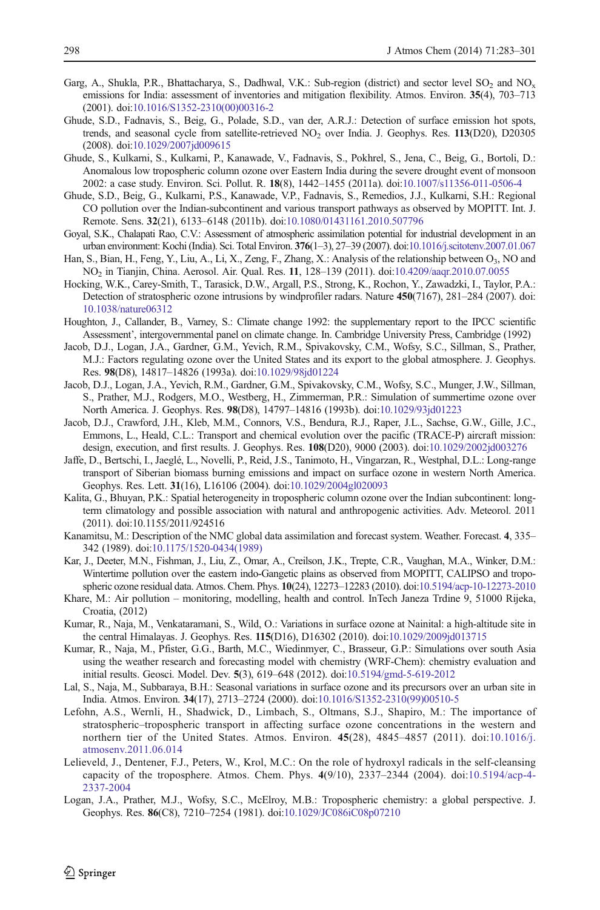- <span id="page-15-0"></span>Garg, A., Shukla, P.R., Bhattacharya, S., Dadhwal, V.K.: Sub-region (district) and sector level  $SO_2$  and  $NO_x$ emissions for India: assessment of inventories and mitigation flexibility. Atmos. Environ. 35(4), 703–713 (2001). doi[:10.1016/S1352-2310\(00\)00316-2](http://dx.doi.org/10.1016/S1352-2310(00)00316-2)
- Ghude, S.D., Fadnavis, S., Beig, G., Polade, S.D., van der, A.R.J.: Detection of surface emission hot spots, trends, and seasonal cycle from satellite-retrieved NO<sub>2</sub> over India. J. Geophys. Res. 113(D20), D20305 (2008). doi[:10.1029/2007jd009615](http://dx.doi.org/10.1029/2007jd009615)
- Ghude, S., Kulkarni, S., Kulkarni, P., Kanawade, V., Fadnavis, S., Pokhrel, S., Jena, C., Beig, G., Bortoli, D.: Anomalous low tropospheric column ozone over Eastern India during the severe drought event of monsoon 2002: a case study. Environ. Sci. Pollut. R. 18(8), 1442–1455 (2011a). doi[:10.1007/s11356-011-0506-4](http://dx.doi.org/10.1007/s11356-011-0506-4)
- Ghude, S.D., Beig, G., Kulkarni, P.S., Kanawade, V.P., Fadnavis, S., Remedios, J.J., Kulkarni, S.H.: Regional CO pollution over the Indian-subcontinent and various transport pathways as observed by MOPITT. Int. J. Remote. Sens. 32(21), 6133–6148 (2011b). doi:[10.1080/01431161.2010.507796](http://dx.doi.org/10.1080/01431161.2010.507796)
- Goyal, S.K., Chalapati Rao, C.V.: Assessment of atmospheric assimilation potential for industrial development in an urban environment: Kochi (India). Sci. Total Environ. 376(1–3), 27–39 (2007). doi:[10.1016/j.scitotenv.2007.01.067](http://dx.doi.org/10.1016/j.scitotenv.2007.01.067)
- Han, S., Bian, H., Feng, Y., Liu, A., Li, X., Zeng, F., Zhang, X.: Analysis of the relationship between O3, NO and NO2 in Tianjin, China. Aerosol. Air. Qual. Res. 11, 128–139 (2011). doi[:10.4209/aaqr.2010.07.0055](http://dx.doi.org/10.4209/aaqr.2010.07.0055)
- Hocking, W.K., Carey-Smith, T., Tarasick, D.W., Argall, P.S., Strong, K., Rochon, Y., Zawadzki, I., Taylor, P.A.: Detection of stratospheric ozone intrusions by windprofiler radars. Nature 450(7167), 281–284 (2007). doi: [10.1038/nature06312](http://dx.doi.org/10.1038/nature06312)
- Houghton, J., Callander, B., Varney, S.: Climate change 1992: the supplementary report to the IPCC scientific Assessment', intergovernmental panel on climate change. In. Cambridge University Press, Cambridge (1992)
- Jacob, D.J., Logan, J.A., Gardner, G.M., Yevich, R.M., Spivakovsky, C.M., Wofsy, S.C., Sillman, S., Prather, M.J.: Factors regulating ozone over the United States and its export to the global atmosphere. J. Geophys. Res. 98(D8), 14817–14826 (1993a). doi[:10.1029/98jd01224](http://dx.doi.org/10.1029/98jd01224)
- Jacob, D.J., Logan, J.A., Yevich, R.M., Gardner, G.M., Spivakovsky, C.M., Wofsy, S.C., Munger, J.W., Sillman, S., Prather, M.J., Rodgers, M.O., Westberg, H., Zimmerman, P.R.: Simulation of summertime ozone over North America. J. Geophys. Res. 98(D8), 14797–14816 (1993b). doi[:10.1029/93jd01223](http://dx.doi.org/10.1029/93jd01223)
- Jacob, D.J., Crawford, J.H., Kleb, M.M., Connors, V.S., Bendura, R.J., Raper, J.L., Sachse, G.W., Gille, J.C., Emmons, L., Heald, C.L.: Transport and chemical evolution over the pacific (TRACE-P) aircraft mission: design, execution, and first results. J. Geophys. Res. 108(D20), 9000 (2003). doi[:10.1029/2002jd003276](http://dx.doi.org/10.1029/2002jd003276)
- Jaffe, D., Bertschi, I., Jaeglé, L., Novelli, P., Reid, J.S., Tanimoto, H., Vingarzan, R., Westphal, D.L.: Long-range transport of Siberian biomass burning emissions and impact on surface ozone in western North America. Geophys. Res. Lett. 31(16), L16106 (2004). doi[:10.1029/2004gl020093](http://dx.doi.org/10.1029/2004gl020093)
- Kalita, G., Bhuyan, P.K.: Spatial heterogeneity in tropospheric column ozone over the Indian subcontinent: longterm climatology and possible association with natural and anthropogenic activities. Adv. Meteorol. 2011 (2011). doi:10.1155/2011/924516
- Kanamitsu, M.: Description of the NMC global data assimilation and forecast system. Weather. Forecast. 4, 335– 342 (1989). doi[:10.1175/1520-0434\(1989\)](http://dx.doi.org/10.1175/1520-0434(1989))
- Kar, J., Deeter, M.N., Fishman, J., Liu, Z., Omar, A., Creilson, J.K., Trepte, C.R., Vaughan, M.A., Winker, D.M.: Wintertime pollution over the eastern indo-Gangetic plains as observed from MOPITT, CALIPSO and tropospheric ozone residual data. Atmos. Chem. Phys. 10(24), 12273–12283 (2010). doi[:10.5194/acp-10-12273-2010](http://dx.doi.org/10.5194/acp-10-12273-2010)
- Khare, M.: Air pollution monitoring, modelling, health and control. InTech Janeza Trdine 9, 51000 Rijeka, Croatia, (2012)
- Kumar, R., Naja, M., Venkataramani, S., Wild, O.: Variations in surface ozone at Nainital: a high-altitude site in the central Himalayas. J. Geophys. Res. 115(D16), D16302 (2010). doi:[10.1029/2009jd013715](http://dx.doi.org/10.1029/2009jd013715)
- Kumar, R., Naja, M., Pfister, G.G., Barth, M.C., Wiedinmyer, C., Brasseur, G.P.: Simulations over south Asia using the weather research and forecasting model with chemistry (WRF-Chem): chemistry evaluation and initial results. Geosci. Model. Dev. 5(3), 619–648 (2012). doi[:10.5194/gmd-5-619-2012](http://dx.doi.org/10.5194/gmd-5-619-2012)
- Lal, S., Naja, M., Subbaraya, B.H.: Seasonal variations in surface ozone and its precursors over an urban site in India. Atmos. Environ. 34(17), 2713–2724 (2000). doi[:10.1016/S1352-2310\(99\)00510-5](http://dx.doi.org/10.1016/S1352-2310(99)00510-5)
- Lefohn, A.S., Wernli, H., Shadwick, D., Limbach, S., Oltmans, S.J., Shapiro, M.: The importance of stratospheric–tropospheric transport in affecting surface ozone concentrations in the western and northern tier of the United States. Atmos. Environ. 45(28), 4845–4857 (2011). doi:[10.1016/j.](http://dx.doi.org/10.1016/j.atmosenv.2011.06.014) [atmosenv.2011.06.014](http://dx.doi.org/10.1016/j.atmosenv.2011.06.014)
- Lelieveld, J., Dentener, F.J., Peters, W., Krol, M.C.: On the role of hydroxyl radicals in the self-cleansing capacity of the troposphere. Atmos. Chem. Phys. 4(9/10), 2337–2344 (2004). doi[:10.5194/acp-4-](http://dx.doi.org/10.5194/acp-4-2337-2004) [2337-2004](http://dx.doi.org/10.5194/acp-4-2337-2004)
- Logan, J.A., Prather, M.J., Wofsy, S.C., McElroy, M.B.: Tropospheric chemistry: a global perspective. J. Geophys. Res. 86(C8), 7210–7254 (1981). doi[:10.1029/JC086iC08p07210](http://dx.doi.org/10.1029/JC086iC08p07210)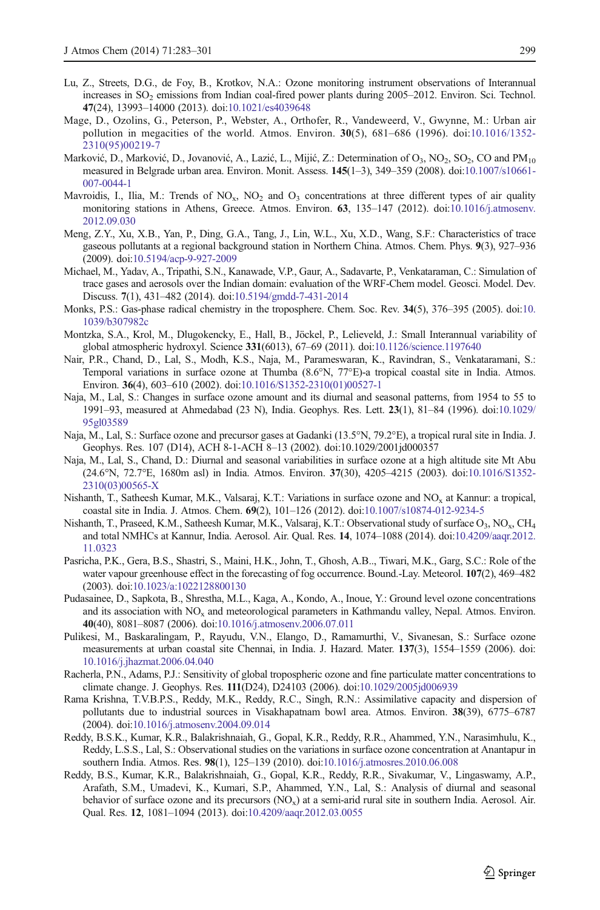- <span id="page-16-0"></span>Lu, Z., Streets, D.G., de Foy, B., Krotkov, N.A.: Ozone monitoring instrument observations of Interannual increases in SO<sub>2</sub> emissions from Indian coal-fired power plants during 2005–2012. Environ. Sci. Technol. 47(24), 13993–14000 (2013). doi[:10.1021/es4039648](http://dx.doi.org/10.1021/es4039648)
- Mage, D., Ozolins, G., Peterson, P., Webster, A., Orthofer, R., Vandeweerd, V., Gwynne, M.: Urban air pollution in megacities of the world. Atmos. Environ. 30(5), 681–686 (1996). doi:[10.1016/1352-](http://dx.doi.org/10.1016/1352-2310(95)00219-7) [2310\(95\)00219-7](http://dx.doi.org/10.1016/1352-2310(95)00219-7)
- Marković, D., Marković, D., Jovanović, A., Lazić, L., Mijić, Z.: Determination of O<sub>3</sub>, NO<sub>2</sub>, SO<sub>2</sub>, CO and PM<sub>10</sub> measured in Belgrade urban area. Environ. Monit. Assess. 145(1–3), 349–359 (2008). doi[:10.1007/s10661-](http://dx.doi.org/10.1007/s10661-007-0044-1) [007-0044-1](http://dx.doi.org/10.1007/s10661-007-0044-1)
- Mavroidis, I., Ilia, M.: Trends of  $NO_x$ ,  $NO_2$  and  $O_3$  concentrations at three different types of air quality monitoring stations in Athens, Greece. Atmos. Environ. 63, 135–147 (2012). doi:[10.1016/j.atmosenv.](http://dx.doi.org/10.1016/j.atmosenv.2012.09.030) [2012.09.030](http://dx.doi.org/10.1016/j.atmosenv.2012.09.030)
- Meng, Z.Y., Xu, X.B., Yan, P., Ding, G.A., Tang, J., Lin, W.L., Xu, X.D., Wang, S.F.: Characteristics of trace gaseous pollutants at a regional background station in Northern China. Atmos. Chem. Phys. 9(3), 927–936 (2009). doi[:10.5194/acp-9-927-2009](http://dx.doi.org/10.5194/acp-9-927-2009)
- Michael, M., Yadav, A., Tripathi, S.N., Kanawade, V.P., Gaur, A., Sadavarte, P., Venkataraman, C.: Simulation of trace gases and aerosols over the Indian domain: evaluation of the WRF-Chem model. Geosci. Model. Dev. Discuss. 7(1), 431–482 (2014). doi:[10.5194/gmdd-7-431-2014](http://dx.doi.org/10.5194/gmdd-7-431-2014)
- Monks, P.S.: Gas-phase radical chemistry in the troposphere. Chem. Soc. Rev. 34(5), 376–395 (2005). doi:[10.](http://dx.doi.org/10.1039/b307982c) [1039/b307982c](http://dx.doi.org/10.1039/b307982c)
- Montzka, S.A., Krol, M., Dlugokencky, E., Hall, B., Jöckel, P., Lelieveld, J.: Small Interannual variability of global atmospheric hydroxyl. Science 331(6013), 67–69 (2011). doi:[10.1126/science.1197640](http://dx.doi.org/10.1126/science.1197640)
- Nair, P.R., Chand, D., Lal, S., Modh, K.S., Naja, M., Parameswaran, K., Ravindran, S., Venkataramani, S.: Temporal variations in surface ozone at Thumba (8.6°N, 77°E)-a tropical coastal site in India. Atmos. Environ. 36(4), 603–610 (2002). doi:[10.1016/S1352-2310\(01\)00527-1](http://dx.doi.org/10.1016/S1352-2310(01)00527-1)
- Naja, M., Lal, S.: Changes in surface ozone amount and its diurnal and seasonal patterns, from 1954 to 55 to 1991–93, measured at Ahmedabad (23 N), India. Geophys. Res. Lett. 23(1), 81–84 (1996). doi[:10.1029/](http://dx.doi.org/10.1029/95gl03589) [95gl03589](http://dx.doi.org/10.1029/95gl03589)
- Naja, M., Lal, S.: Surface ozone and precursor gases at Gadanki (13.5°N, 79.2°E), a tropical rural site in India. J. Geophys. Res. 107 (D14), ACH 8-1-ACH 8–13 (2002). doi:10.1029/2001jd000357
- Naja, M., Lal, S., Chand, D.: Diurnal and seasonal variabilities in surface ozone at a high altitude site Mt Abu (24.6°N, 72.7°E, 1680m asl) in India. Atmos. Environ. 37(30), 4205–4215 (2003). doi[:10.1016/S1352-](http://dx.doi.org/10.1016/S1352-2310(03)00565-X) [2310\(03\)00565-X](http://dx.doi.org/10.1016/S1352-2310(03)00565-X)
- Nishanth, T., Satheesh Kumar, M.K., Valsaraj, K.T.: Variations in surface ozone and NO<sub>x</sub> at Kannur: a tropical, coastal site in India. J. Atmos. Chem. 69(2), 101–126 (2012). doi[:10.1007/s10874-012-9234-5](http://dx.doi.org/10.1007/s10874-012-9234-5)
- Nishanth, T., Praseed, K.M., Satheesh Kumar, M.K., Valsaraj, K.T.: Observational study of surface O<sub>3</sub>, NO<sub>x</sub>, CH<sub>4</sub> and total NMHCs at Kannur, India. Aerosol. Air. Qual. Res. 14, 1074–1088 (2014). doi[:10.4209/aaqr.2012.](http://dx.doi.org/10.4209/aaqr.2012.11.0323) [11.0323](http://dx.doi.org/10.4209/aaqr.2012.11.0323)
- Pasricha, P.K., Gera, B.S., Shastri, S., Maini, H.K., John, T., Ghosh, A.B.., Tiwari, M.K., Garg, S.C.: Role of the water vapour greenhouse effect in the forecasting of fog occurrence. Bound.-Lay. Meteorol. 107(2), 469–482 (2003). doi[:10.1023/a:1022128800130](http://dx.doi.org/10.1023/a:1022128800130)
- Pudasainee, D., Sapkota, B., Shrestha, M.L., Kaga, A., Kondo, A., Inoue, Y.: Ground level ozone concentrations and its association with  $NO<sub>x</sub>$  and meteorological parameters in Kathmandu valley, Nepal. Atmos. Environ. 40(40), 8081–8087 (2006). doi[:10.1016/j.atmosenv.2006.07.011](http://dx.doi.org/10.1016/j.atmosenv.2006.07.011)
- Pulikesi, M., Baskaralingam, P., Rayudu, V.N., Elango, D., Ramamurthi, V., Sivanesan, S.: Surface ozone measurements at urban coastal site Chennai, in India. J. Hazard. Mater. 137(3), 1554–1559 (2006). doi: [10.1016/j.jhazmat.2006.04.040](http://dx.doi.org/10.1016/j.jhazmat.2006.04.040)
- Racherla, P.N., Adams, P.J.: Sensitivity of global tropospheric ozone and fine particulate matter concentrations to climate change. J. Geophys. Res. 111(D24), D24103 (2006). doi:[10.1029/2005jd006939](http://dx.doi.org/10.1029/2005jd006939)
- Rama Krishna, T.V.B.P.S., Reddy, M.K., Reddy, R.C., Singh, R.N.: Assimilative capacity and dispersion of pollutants due to industrial sources in Visakhapatnam bowl area. Atmos. Environ. 38(39), 6775–6787 (2004). doi[:10.1016/j.atmosenv.2004.09.014](http://dx.doi.org/10.1016/j.atmosenv.2004.09.014)
- Reddy, B.S.K., Kumar, K.R., Balakrishnaiah, G., Gopal, K.R., Reddy, R.R., Ahammed, Y.N., Narasimhulu, K., Reddy, L.S.S., Lal, S.: Observational studies on the variations in surface ozone concentration at Anantapur in southern India. Atmos. Res. 98(1), 125–139 (2010). doi[:10.1016/j.atmosres.2010.06.008](http://dx.doi.org/10.1016/j.atmosres.2010.06.008)
- Reddy, B.S., Kumar, K.R., Balakrishnaiah, G., Gopal, K.R., Reddy, R.R., Sivakumar, V., Lingaswamy, A.P., Arafath, S.M., Umadevi, K., Kumari, S.P., Ahammed, Y.N., Lal, S.: Analysis of diurnal and seasonal behavior of surface ozone and its precursors  $(NO_x)$  at a semi-arid rural site in southern India. Aerosol. Air. Qual. Res. 12, 1081–1094 (2013). doi:[10.4209/aaqr.2012.03.0055](http://dx.doi.org/10.4209/aaqr.2012.03.0055)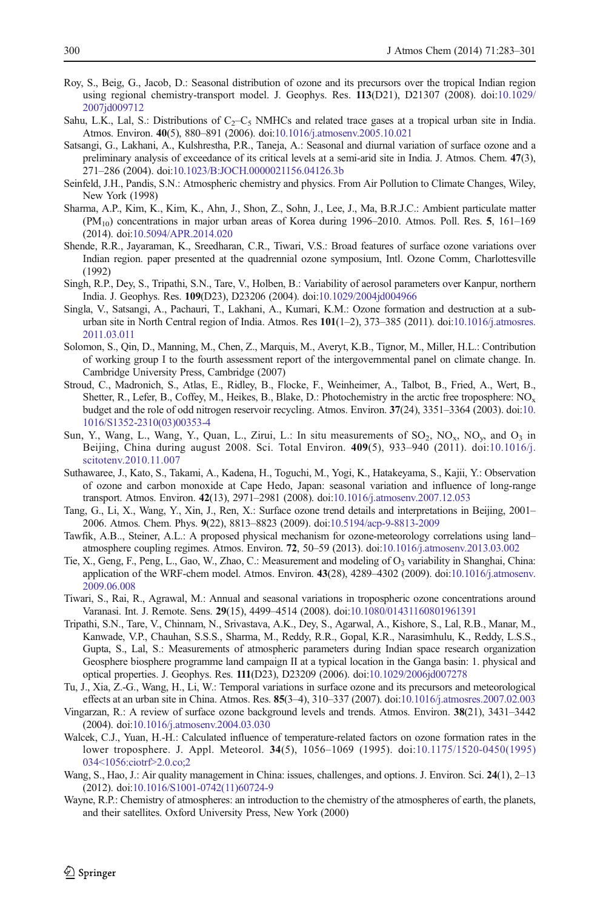- <span id="page-17-0"></span>Roy, S., Beig, G., Jacob, D.: Seasonal distribution of ozone and its precursors over the tropical Indian region using regional chemistry-transport model. J. Geophys. Res. 113(D21), D21307 (2008). doi:[10.1029/](http://dx.doi.org/10.1029/2007jd009712) [2007jd009712](http://dx.doi.org/10.1029/2007jd009712)
- Sahu, L.K., Lal, S.: Distributions of  $C_2-C_5$  NMHCs and related trace gases at a tropical urban site in India. Atmos. Environ. 40(5), 880–891 (2006). doi[:10.1016/j.atmosenv.2005.10.021](http://dx.doi.org/10.1016/j.atmosenv.2005.10.021)
- Satsangi, G., Lakhani, A., Kulshrestha, P.R., Taneja, A.: Seasonal and diurnal variation of surface ozone and a preliminary analysis of exceedance of its critical levels at a semi-arid site in India. J. Atmos. Chem. 47(3), 271–286 (2004). doi:[10.1023/B:JOCH.0000021156.04126.3b](http://dx.doi.org/10.1023/B:JOCH.0000021156.04126.3b)
- Seinfeld, J.H., Pandis, S.N.: Atmospheric chemistry and physics. From Air Pollution to Climate Changes, Wiley, New York (1998)
- Sharma, A.P., Kim, K., Kim, K., Ahn, J., Shon, Z., Sohn, J., Lee, J., Ma, B.R.J.C.: Ambient particulate matter (PM10) concentrations in major urban areas of Korea during 1996–2010. Atmos. Poll. Res. 5, 161–169 (2014). doi[:10.5094/APR.2014.020](http://dx.doi.org/10.5094/APR.2014.020)
- Shende, R.R., Jayaraman, K., Sreedharan, C.R., Tiwari, V.S.: Broad features of surface ozone variations over Indian region. paper presented at the quadrennial ozone symposium, Intl. Ozone Comm, Charlottesville (1992)
- Singh, R.P., Dey, S., Tripathi, S.N., Tare, V., Holben, B.: Variability of aerosol parameters over Kanpur, northern India. J. Geophys. Res. 109(D23), D23206 (2004). doi:[10.1029/2004jd004966](http://dx.doi.org/10.1029/2004jd004966)
- Singla, V., Satsangi, A., Pachauri, T., Lakhani, A., Kumari, K.M.: Ozone formation and destruction at a sub-urban site in North Central region of India. Atmos. Res 101(1-2), 373-385 (2011). doi[:10.1016/j.atmosres.](http://dx.doi.org/10.1016/j.atmosres.2011.03.011) [2011.03.011](http://dx.doi.org/10.1016/j.atmosres.2011.03.011)
- Solomon, S., Qin, D., Manning, M., Chen, Z., Marquis, M., Averyt, K.B., Tignor, M., Miller, H.L.: Contribution of working group I to the fourth assessment report of the intergovernmental panel on climate change. In. Cambridge University Press, Cambridge (2007)
- Stroud, C., Madronich, S., Atlas, E., Ridley, B., Flocke, F., Weinheimer, A., Talbot, B., Fried, A., Wert, B., Shetter, R., Lefer, B., Coffey, M., Heikes, B., Blake, D.: Photochemistry in the arctic free troposphere: NO<sub>x</sub> budget and the role of odd nitrogen reservoir recycling. Atmos. Environ. 37(24), 3351–3364 (2003). doi:[10.](http://dx.doi.org/10.1016/S1352-2310(03)00353-4) [1016/S1352-2310\(03\)00353-4](http://dx.doi.org/10.1016/S1352-2310(03)00353-4)
- Sun, Y., Wang, L., Wang, Y., Quan, L., Zirui, L.: In situ measurements of  $SO_2$ ,  $NO_x$ ,  $NO_y$ , and  $O_3$  in Beijing, China during august 2008. Sci. Total Environ. 409(5), 933–940 (2011). doi:[10.1016/j.](http://dx.doi.org/10.1016/j.scitotenv.2010.11.007) [scitotenv.2010.11.007](http://dx.doi.org/10.1016/j.scitotenv.2010.11.007)
- Suthawaree, J., Kato, S., Takami, A., Kadena, H., Toguchi, M., Yogi, K., Hatakeyama, S., Kajii, Y.: Observation of ozone and carbon monoxide at Cape Hedo, Japan: seasonal variation and influence of long-range transport. Atmos. Environ. 42(13), 2971–2981 (2008). doi[:10.1016/j.atmosenv.2007.12.053](http://dx.doi.org/10.1016/j.atmosenv.2007.12.053)
- Tang, G., Li, X., Wang, Y., Xin, J., Ren, X.: Surface ozone trend details and interpretations in Beijing, 2001– 2006. Atmos. Chem. Phys. 9(22), 8813–8823 (2009). doi[:10.5194/acp-9-8813-2009](http://dx.doi.org/10.5194/acp-9-8813-2009)
- Tawfik, A.B.., Steiner, A.L.: A proposed physical mechanism for ozone-meteorology correlations using land– atmosphere coupling regimes. Atmos. Environ. 72, 50–59 (2013). doi[:10.1016/j.atmosenv.2013.03.002](http://dx.doi.org/10.1016/j.atmosenv.2013.03.002)
- Tie, X., Geng, F., Peng, L., Gao, W., Zhao, C.: Measurement and modeling of  $O_3$  variability in Shanghai, China: application of the WRF-chem model. Atmos. Environ. 43(28), 4289–4302 (2009). doi:[10.1016/j.atmosenv.](http://dx.doi.org/10.1016/j.atmosenv.2009.06.008) [2009.06.008](http://dx.doi.org/10.1016/j.atmosenv.2009.06.008)
- Tiwari, S., Rai, R., Agrawal, M.: Annual and seasonal variations in tropospheric ozone concentrations around Varanasi. Int. J. Remote. Sens. 29(15), 4499–4514 (2008). doi:[10.1080/01431160801961391](http://dx.doi.org/10.1080/01431160801961391)
- Tripathi, S.N., Tare, V., Chinnam, N., Srivastava, A.K., Dey, S., Agarwal, A., Kishore, S., Lal, R.B., Manar, M., Kanwade, V.P., Chauhan, S.S.S., Sharma, M., Reddy, R.R., Gopal, K.R., Narasimhulu, K., Reddy, L.S.S., Gupta, S., Lal, S.: Measurements of atmospheric parameters during Indian space research organization Geosphere biosphere programme land campaign II at a typical location in the Ganga basin: 1. physical and optical properties. J. Geophys. Res. 111(D23), D23209 (2006). doi:[10.1029/2006jd007278](http://dx.doi.org/10.1029/2006jd007278)
- Tu, J., Xia, Z.-G., Wang, H., Li, W.: Temporal variations in surface ozone and its precursors and meteorological effects at an urban site in China. Atmos. Res. 85(3–4), 310–337 (2007). doi:[10.1016/j.atmosres.2007.02.003](http://dx.doi.org/10.1016/j.atmosres.2007.02.003)
- Vingarzan, R.: A review of surface ozone background levels and trends. Atmos. Environ. 38(21), 3431–3442 (2004). doi[:10.1016/j.atmosenv.2004.03.030](http://dx.doi.org/10.1016/j.atmosenv.2004.03.030)
- Walcek, C.J., Yuan, H.-H.: Calculated influence of temperature-related factors on ozone formation rates in the lower troposphere. J. Appl. Meteorol. 34(5), 1056–1069 (1995). doi:[10.1175/1520-0450\(1995\)](http://dx.doi.org/10.1175/1520-0450(1995)034%3C1056:ciotrf%3E2.0.co;2) [034<1056:ciotrf>2.0.co;2](http://dx.doi.org/10.1175/1520-0450(1995)034%3C1056:ciotrf%3E2.0.co;2)
- Wang, S., Hao, J.: Air quality management in China: issues, challenges, and options. J. Environ. Sci. 24(1), 2–13 (2012). doi[:10.1016/S1001-0742\(11\)60724-9](http://dx.doi.org/10.1016/S1001-0742(11)60724-9)
- Wayne, R.P.: Chemistry of atmospheres: an introduction to the chemistry of the atmospheres of earth, the planets, and their satellites. Oxford University Press, New York (2000)